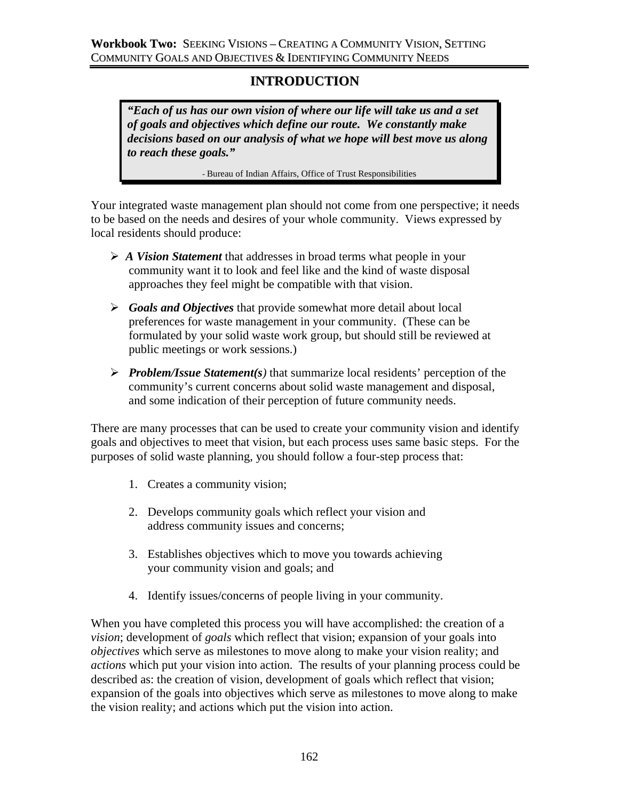# **INTRODUCTION**

*"Each of us has our own vision of where our life will take us and a set of goals and objectives which define our route. We constantly make decisions based on our analysis of what we hope will best move us along to reach these goals."* 

- Bureau of Indian Affairs, Office of Trust Responsibilities

Your integrated waste management plan should not come from one perspective; it needs to be based on the needs and desires of your whole community. Views expressed by local residents should produce:

- ¾ *A Vision Statement* that addresses in broad terms what people in your community want it to look and feel like and the kind of waste disposal approaches they feel might be compatible with that vision.
- ¾ *Goals and Objectives* that provide somewhat more detail about local preferences for waste management in your community. (These can be formulated by your solid waste work group, but should still be reviewed at public meetings or work sessions.)
- ¾ *Problem/Issue Statement(s)* that summarize local residents' perception of the community's current concerns about solid waste management and disposal, and some indication of their perception of future community needs.

There are many processes that can be used to create your community vision and identify goals and objectives to meet that vision, but each process uses same basic steps. For the purposes of solid waste planning, you should follow a four-step process that:

- 1. Creates a community vision;
- 2. Develops community goals which reflect your vision and address community issues and concerns;
- 3. Establishes objectives which to move you towards achieving your community vision and goals; and
- 4. Identify issues/concerns of people living in your community.

When you have completed this process you will have accomplished: the creation of a *vision*; development of *goals* which reflect that vision; expansion of your goals into *objectives* which serve as milestones to move along to make your vision reality; and *actions* which put your vision into action. The results of your planning process could be described as: the creation of vision, development of goals which reflect that vision; expansion of the goals into objectives which serve as milestones to move along to make the vision reality; and actions which put the vision into action.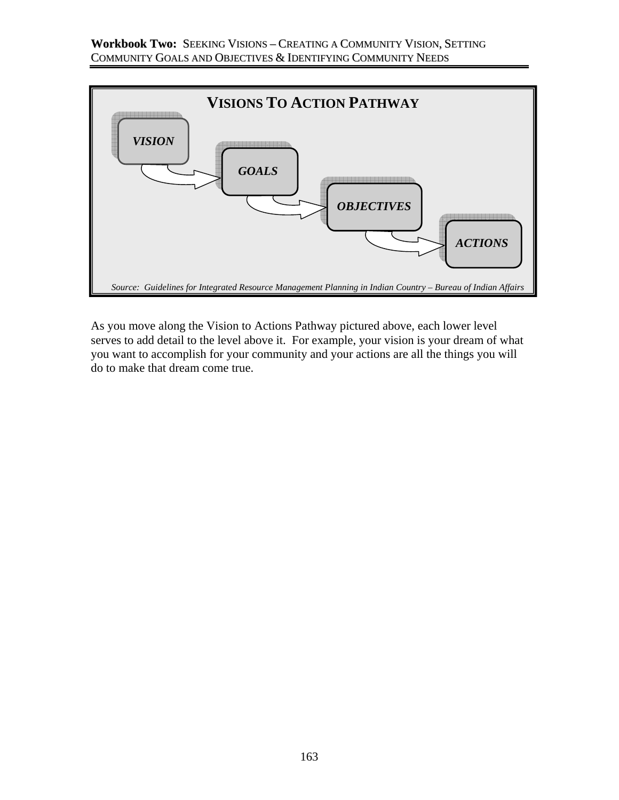

As you move along the Vision to Actions Pathway pictured above, each lower level serves to add detail to the level above it. For example, your vision is your dream of what you want to accomplish for your community and your actions are all the things you will do to make that dream come true.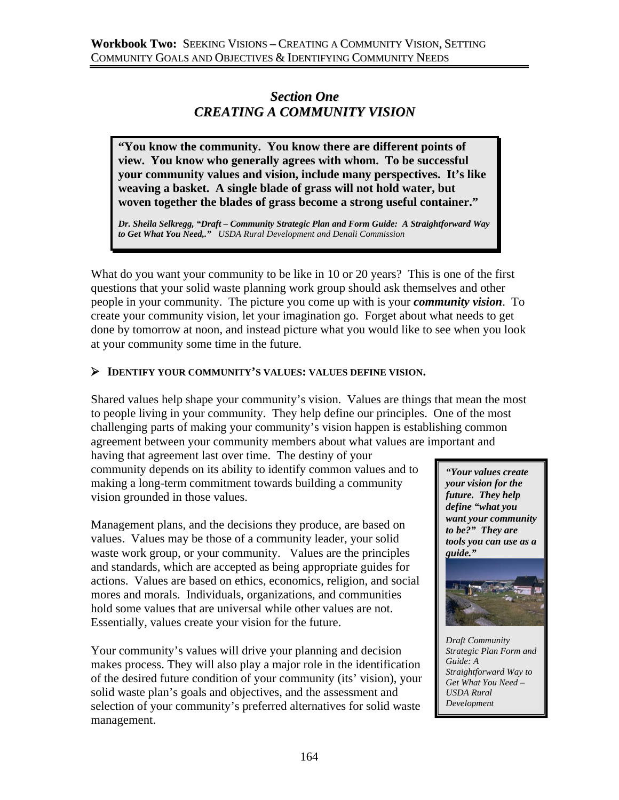# *Section One CREATING A COMMUNITY VISION*

**"You know the community. You know there are different points of view. You know who generally agrees with whom. To be successful your community values and vision, include many perspectives. It's like weaving a basket. A single blade of grass will not hold water, but woven together the blades of grass become a strong useful container."** 

*Dr. Sheila Selkregg, "Draft – Community Strategic Plan and Form Guide: A Straightforward Way to Get What You Need,." USDA Rural Development and Denali Commission*

What do you want your community to be like in 10 or 20 years? This is one of the first questions that your solid waste planning work group should ask themselves and other people in your community. The picture you come up with is your *community vision*. To create your community vision, let your imagination go. Forget about what needs to get done by tomorrow at noon, and instead picture what you would like to see when you look at your community some time in the future.

### ¾ **IDENTIFY YOUR COMMUNITY'S VALUES: VALUES DEFINE VISION.**

Shared values help shape your community's vision. Values are things that mean the most to people living in your community. They help define our principles. One of the most challenging parts of making your community's vision happen is establishing common agreement between your community members about what values are important and

having that agreement last over time. The destiny of your community depends on its ability to identify common values and to making a long-term commitment towards building a community vision grounded in those values.

Management plans, and the decisions they produce, are based on values. Values may be those of a community leader, your solid waste work group, or your community. Values are the principles and standards, which are accepted as being appropriate guides for actions. Values are based on ethics, economics, religion, and social mores and morals. Individuals, organizations, and communities hold some values that are universal while other values are not. Essentially, values create your vision for the future.

Your community's values will drive your planning and decision makes process. They will also play a major role in the identification of the desired future condition of your community (its' vision), your solid waste plan's goals and objectives, and the assessment and selection of your community's preferred alternatives for solid waste management.

*"Your values create your vision for the future. They help define "what you want your community to be?" They are tools you can use as a guide."* 



*Draft Community Strategic Plan Form and Guide: A Straightforward Way to Get What You Need – USDA Rural Development*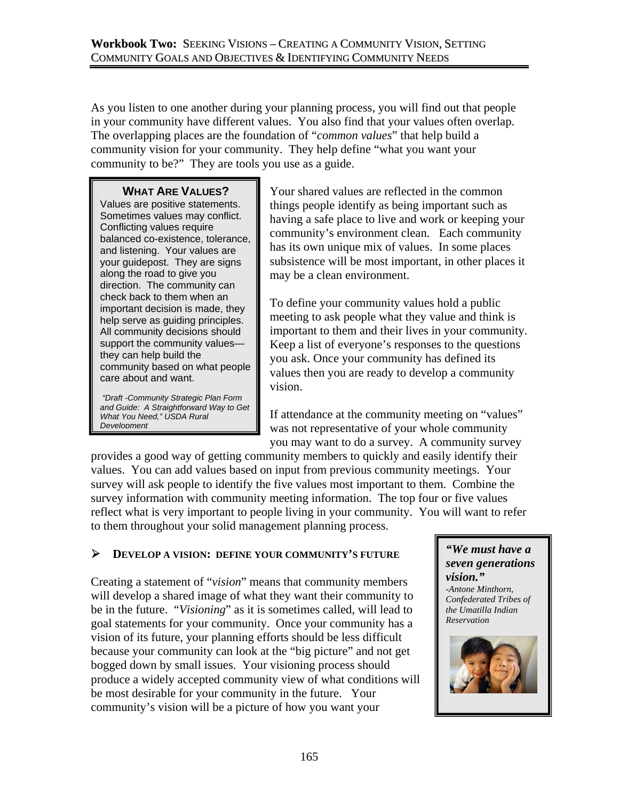As you listen to one another during your planning process, you will find out that people in your community have different values. You also find that your values often overlap. The overlapping places are the foundation of "*common values*" that help build a community vision for your community. They help define "what you want your community to be?" They are tools you use as a guide.

## **WHAT ARE VALUES?**

Values are positive statements. Sometimes values may conflict. Conflicting values require balanced co-existence, tolerance, and listening. Your values are your guidepost. They are signs along the road to give you direction. The community can check back to them when an important decision is made, they help serve as guiding principles. All community decisions should support the community values they can help build the community based on what people care about and want.

 *"Draft -Community Strategic Plan Form and Guide: A Straightforward Way to Get What You Need," USDA Rural Development*

Your shared values are reflected in the common things people identify as being important such as having a safe place to live and work or keeping your community's environment clean. Each community has its own unique mix of values. In some places subsistence will be most important, in other places it may be a clean environment.

To define your community values hold a public meeting to ask people what they value and think is important to them and their lives in your community. Keep a list of everyone's responses to the questions you ask. Once your community has defined its values then you are ready to develop a community vision.

If attendance at the community meeting on "values" was not representative of your whole community you may want to do a survey. A community survey

provides a good way of getting community members to quickly and easily identify their values. You can add values based on input from previous community meetings. Your survey will ask people to identify the five values most important to them. Combine the survey information with community meeting information. The top four or five values reflect what is very important to people living in your community. You will want to refer to them throughout your solid management planning process.

## ¾ **DEVELOP A VISION: DEFINE YOUR COMMUNITY'S FUTURE**

Creating a statement of "*vision*" means that community members will develop a shared image of what they want their community to be in the future. "*Visioning*" as it is sometimes called, will lead to goal statements for your community. Once your community has a vision of its future, your planning efforts should be less difficult because your community can look at the "big picture" and not get bogged down by small issues. Your visioning process should produce a widely accepted community view of what conditions will be most desirable for your community in the future. Your community's vision will be a picture of how you want your

#### *"We must have a seven generations vision." -Antone Minthorn,*

*Confederated Tribes of the Umatilla Indian Reservation* 

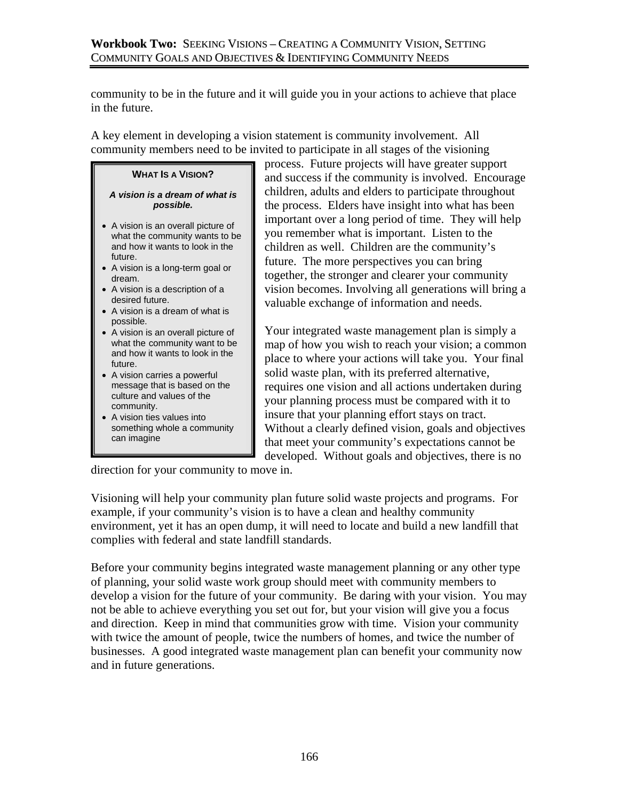community to be in the future and it will guide you in your actions to achieve that place in the future.

A key element in developing a vision statement is community involvement. All community members need to be invited to participate in all stages of the visioning

### **WHAT IS A VISION?**

#### *A vision is a dream of what is possible.*

- A vision is an overall picture of what the community wants to be and how it wants to look in the future.
- A vision is a long-term goal or dream.
- A vision is a description of a desired future.
- A vision is a dream of what is possible.
- A vision is an overall picture of what the community want to be and how it wants to look in the future.
- A vision carries a powerful message that is based on the culture and values of the community.
- A vision ties values into something whole a community can imagine

process. Future projects will have greater support and success if the community is involved. Encourage children, adults and elders to participate throughout the process. Elders have insight into what has been important over a long period of time. They will help you remember what is important. Listen to the children as well. Children are the community's future. The more perspectives you can bring together, the stronger and clearer your community vision becomes. Involving all generations will bring a valuable exchange of information and needs.

Your integrated waste management plan is simply a map of how you wish to reach your vision; a common place to where your actions will take you. Your final solid waste plan, with its preferred alternative, requires one vision and all actions undertaken during your planning process must be compared with it to insure that your planning effort stays on tract. Without a clearly defined vision, goals and objectives that meet your community's expectations cannot be developed. Without goals and objectives, there is no

direction for your community to move in.

Visioning will help your community plan future solid waste projects and programs. For example, if your community's vision is to have a clean and healthy community environment, yet it has an open dump, it will need to locate and build a new landfill that complies with federal and state landfill standards.

Before your community begins integrated waste management planning or any other type of planning, your solid waste work group should meet with community members to develop a vision for the future of your community. Be daring with your vision. You may not be able to achieve everything you set out for, but your vision will give you a focus and direction. Keep in mind that communities grow with time. Vision your community with twice the amount of people, twice the numbers of homes, and twice the number of businesses. A good integrated waste management plan can benefit your community now and in future generations.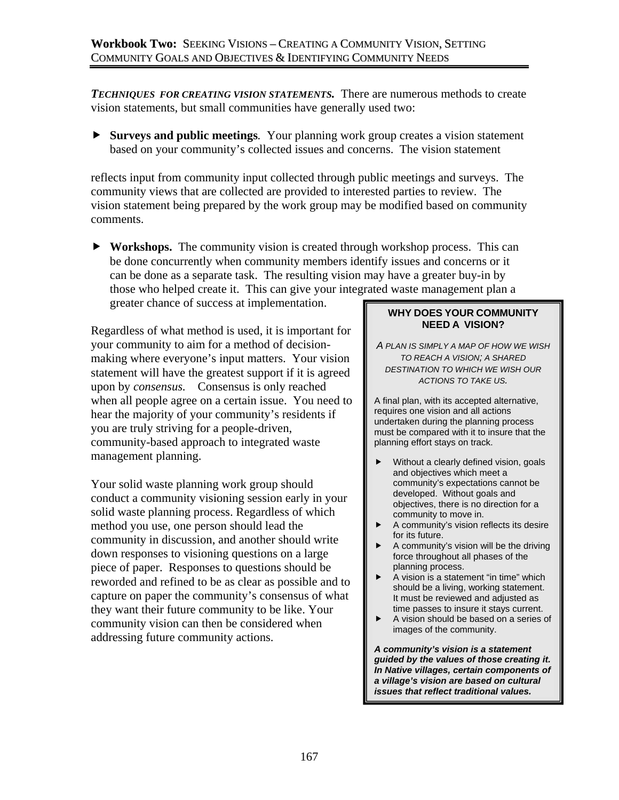*TECHNIQUES FOR CREATING VISION STATEMENTS.* There are numerous methods to create vision statements, but small communities have generally used two:

**F** Surveys and public meetings. Your planning work group creates a vision statement based on your community's collected issues and concerns. The vision statement

reflects input from community input collected through public meetings and surveys. The community views that are collected are provided to interested parties to review. The vision statement being prepared by the work group may be modified based on community comments.

**EXECUTE: Workshops.** The community vision is created through workshop process. This can be done concurrently when community members identify issues and concerns or it can be done as a separate task. The resulting vision may have a greater buy-in by those who helped create it. This can give your integrated waste management plan a

greater chance of success at implementation.

Regardless of what method is used, it is important for your community to aim for a method of decisionmaking where everyone's input matters. Your vision statement will have the greatest support if it is agreed upon by *consensus.* Consensus is only reached when all people agree on a certain issue. You need to hear the majority of your community's residents if you are truly striving for a people-driven, community-based approach to integrated waste management planning.

Your solid waste planning work group should conduct a community visioning session early in your solid waste planning process. Regardless of which method you use, one person should lead the community in discussion, and another should write down responses to visioning questions on a large piece of paper. Responses to questions should be reworded and refined to be as clear as possible and to capture on paper the community's consensus of what they want their future community to be like. Your community vision can then be considered when addressing future community actions.

### **WHY DOES YOUR COMMUNITY NEED A VISION?**

*A PLAN IS SIMPLY A MAP OF HOW WE WISH TO REACH A VISION; A SHARED DESTINATION TO WHICH WE WISH OUR ACTIONS TO TAKE US.* 

A final plan, with its accepted alternative, requires one vision and all actions undertaken during the planning process must be compared with it to insure that the planning effort stays on track.

- Without a clearly defined vision, goals and objectives which meet a community's expectations cannot be developed. Without goals and objectives, there is no direction for a community to move in.
- $\blacktriangleright$  A community's vision reflects its desire for its future.
- $\blacktriangleright$  A community's vision will be the driving force throughout all phases of the planning process.
- $\blacktriangleright$  A vision is a statement "in time" which should be a living, working statement. It must be reviewed and adjusted as time passes to insure it stays current.
- $\blacktriangleright$  A vision should be based on a series of images of the community.

*A community's vision is a statement guided by the values of those creating it. In Native villages, certain components of a village's vision are based on cultural issues that reflect traditional values.*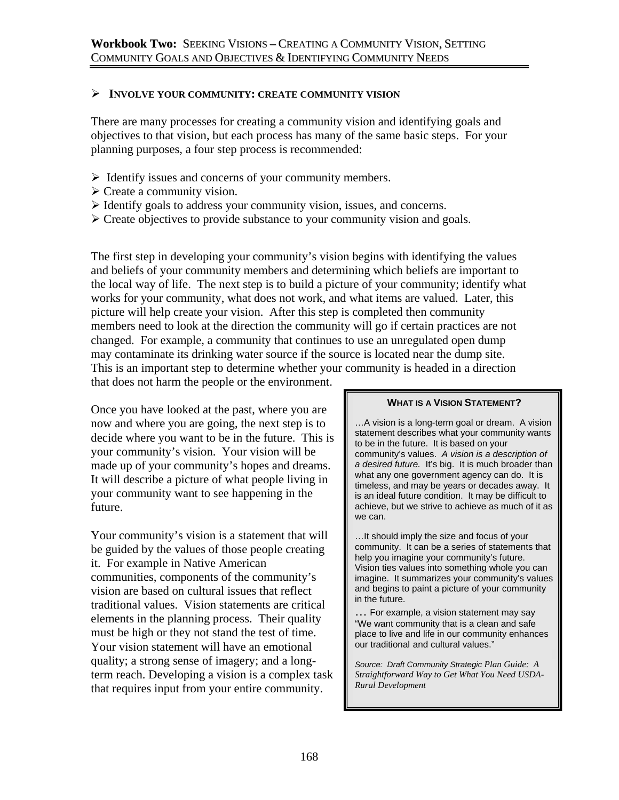### ¾ **INVOLVE YOUR COMMUNITY: CREATE COMMUNITY VISION**

There are many processes for creating a community vision and identifying goals and objectives to that vision, but each process has many of the same basic steps. For your planning purposes, a four step process is recommended:

- $\triangleright$  Identify issues and concerns of your community members.
- $\triangleright$  Create a community vision.
- $\triangleright$  Identify goals to address your community vision, issues, and concerns.
- $\triangleright$  Create objectives to provide substance to your community vision and goals.

The first step in developing your community's vision begins with identifying the values and beliefs of your community members and determining which beliefs are important to the local way of life. The next step is to build a picture of your community; identify what works for your community, what does not work, and what items are valued. Later, this picture will help create your vision. After this step is completed then community members need to look at the direction the community will go if certain practices are not changed. For example, a community that continues to use an unregulated open dump may contaminate its drinking water source if the source is located near the dump site. This is an important step to determine whether your community is headed in a direction that does not harm the people or the environment.

Once you have looked at the past, where you are now and where you are going, the next step is to decide where you want to be in the future. This is your community's vision. Your vision will be made up of your community's hopes and dreams. It will describe a picture of what people living in your community want to see happening in the future.

Your community's vision is a statement that will be guided by the values of those people creating it. For example in Native American communities, components of the community's vision are based on cultural issues that reflect traditional values. Vision statements are critical elements in the planning process. Their quality must be high or they not stand the test of time. Your vision statement will have an emotional quality; a strong sense of imagery; and a longterm reach. Developing a vision is a complex task that requires input from your entire community.

#### **WHAT IS A VISION STATEMENT?**

…A vision is a long-term goal or dream. A vision statement describes what your community wants to be in the future. It is based on your community's values. *A vision is a description of a desired future.* It's big. It is much broader than what any one government agency can do. It is timeless, and may be years or decades away. It is an ideal future condition. It may be difficult to achieve, but we strive to achieve as much of it as we can.

…It should imply the size and focus of your community. It can be a series of statements that help you imagine your community's future. Vision ties values into something whole you can imagine. It summarizes your community's values and begins to paint a picture of your community in the future.

… For example, a vision statement may say "We want community that is a clean and safe place to live and life in our community enhances our traditional and cultural values."

*Source: Draft Community Strategic Plan Guide: A Straightforward Way to Get What You Need USDA-Rural Development*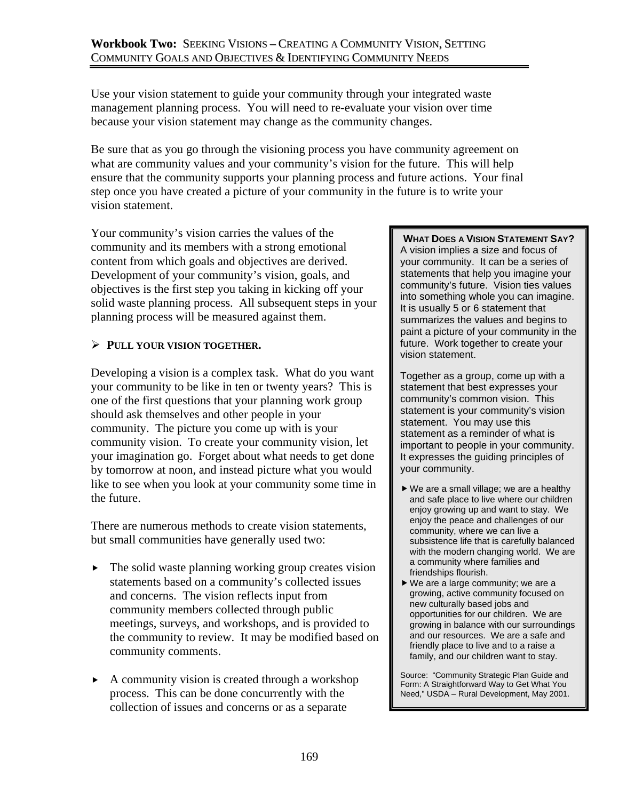Use your vision statement to guide your community through your integrated waste management planning process. You will need to re-evaluate your vision over time because your vision statement may change as the community changes.

Be sure that as you go through the visioning process you have community agreement on what are community values and your community's vision for the future. This will help ensure that the community supports your planning process and future actions. Your final step once you have created a picture of your community in the future is to write your vision statement.

Your community's vision carries the values of the community and its members with a strong emotional content from which goals and objectives are derived. Development of your community's vision, goals, and objectives is the first step you taking in kicking off your solid waste planning process. All subsequent steps in your planning process will be measured against them.

## ¾ **PULL YOUR VISION TOGETHER.**

Developing a vision is a complex task. What do you want your community to be like in ten or twenty years? This is one of the first questions that your planning work group should ask themselves and other people in your community. The picture you come up with is your community vision. To create your community vision, let your imagination go. Forget about what needs to get done by tomorrow at noon, and instead picture what you would like to see when you look at your community some time in the future.

There are numerous methods to create vision statements, but small communities have generally used two:

- $\blacktriangleright$  The solid waste planning working group creates vision statements based on a community's collected issues and concerns. The vision reflects input from community members collected through public meetings, surveys, and workshops, and is provided to the community to review. It may be modified based on community comments.
- $\blacktriangleright$  A community vision is created through a workshop process. This can be done concurrently with the collection of issues and concerns or as a separate

#### **WHAT DOES A VISION STATEMENT SAY?**  A vision implies a size and focus of your community. It can be a series of statements that help you imagine your community's future. Vision ties values into something whole you can imagine. It is usually 5 or 6 statement that summarizes the values and begins to paint a picture of your community in the future. Work together to create your vision statement.

Together as a group, come up with a statement that best expresses your community's common vision. This statement is your community's vision statement. You may use this statement as a reminder of what is important to people in your community. It expresses the guiding principles of your community.

- $\blacktriangleright$  We are a small village; we are a healthy and safe place to live where our children enjoy growing up and want to stay. We enjoy the peace and challenges of our community, where we can live a subsistence life that is carefully balanced with the modern changing world. We are a community where families and friendships flourish.
- $\blacktriangleright$  We are a large community; we are a growing, active community focused on new culturally based jobs and opportunities for our children. We are growing in balance with our surroundings and our resources. We are a safe and friendly place to live and to a raise a family, and our children want to stay.

Source: "Community Strategic Plan Guide and Form: A Straightforward Way to Get What You Need," USDA – Rural Development, May 2001.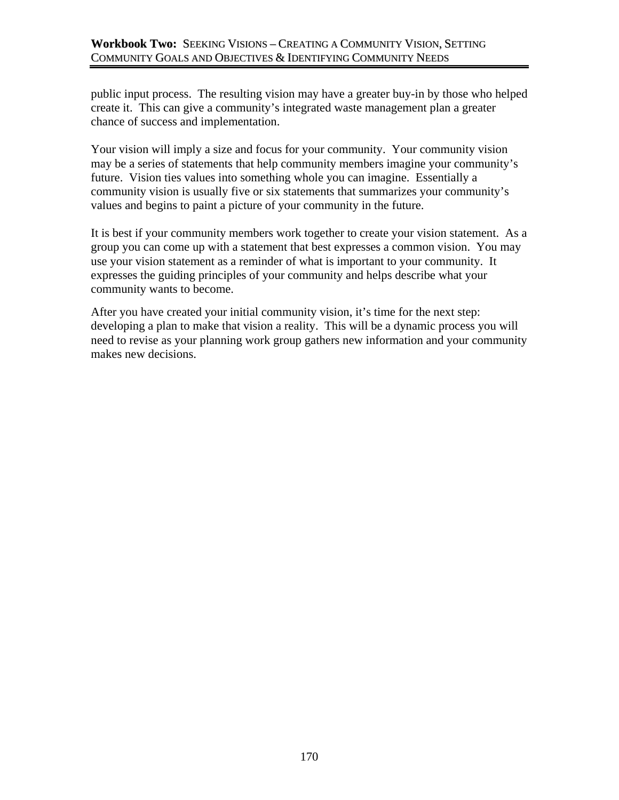public input process. The resulting vision may have a greater buy-in by those who helped create it. This can give a community's integrated waste management plan a greater chance of success and implementation.

Your vision will imply a size and focus for your community. Your community vision may be a series of statements that help community members imagine your community's future. Vision ties values into something whole you can imagine. Essentially a community vision is usually five or six statements that summarizes your community's values and begins to paint a picture of your community in the future.

It is best if your community members work together to create your vision statement. As a group you can come up with a statement that best expresses a common vision. You may use your vision statement as a reminder of what is important to your community. It expresses the guiding principles of your community and helps describe what your community wants to become.

After you have created your initial community vision, it's time for the next step: developing a plan to make that vision a reality. This will be a dynamic process you will need to revise as your planning work group gathers new information and your community makes new decisions.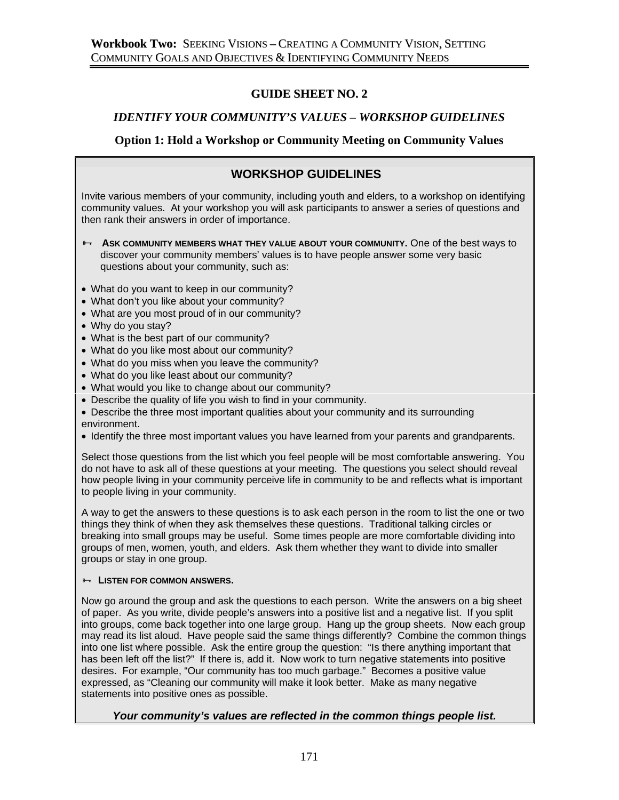## **GUIDE SHEET NO. 2**

### *IDENTIFY YOUR COMMUNITY'S VALUES – WORKSHOP GUIDELINES*

### **Option 1: Hold a Workshop or Community Meeting on Community Values**

## **WORKSHOP GUIDELINES**

Invite various members of your community, including youth and elders, to a workshop on identifying community values. At your workshop you will ask participants to answer a series of questions and then rank their answers in order of importance.

- **B- ASK COMMUNITY MEMBERS WHAT THEY VALUE ABOUT YOUR COMMUNITY.** One of the best ways to discover your community members' values is to have people answer some very basic questions about your community, such as:
- What do you want to keep in our community?
- What don't you like about your community?
- What are you most proud of in our community?
- Why do you stay?
- What is the best part of our community?
- What do you like most about our community?
- What do you miss when you leave the community?
- What do you like least about our community?
- What would you like to change about our community?
- Describe the quality of life you wish to find in your community.
- Describe the three most important qualities about your community and its surrounding environment.
- Identify the three most important values you have learned from your parents and grandparents.

Select those questions from the list which you feel people will be most comfortable answering. You do not have to ask all of these questions at your meeting. The questions you select should reveal how people living in your community perceive life in community to be and reflects what is important to people living in your community.

A way to get the answers to these questions is to ask each person in the room to list the one or two things they think of when they ask themselves these questions. Traditional talking circles or breaking into small groups may be useful. Some times people are more comfortable dividing into groups of men, women, youth, and elders. Ask them whether they want to divide into smaller groups or stay in one group.

#### **Example 15 LISTEN FOR COMMON ANSWERS.**

Now go around the group and ask the questions to each person. Write the answers on a big sheet of paper. As you write, divide people's answers into a positive list and a negative list. If you split into groups, come back together into one large group. Hang up the group sheets. Now each group may read its list aloud. Have people said the same things differently? Combine the common things into one list where possible. Ask the entire group the question: "Is there anything important that has been left off the list?" If there is, add it. Now work to turn negative statements into positive desires. For example, "Our community has too much garbage." Becomes a positive value expressed, as "Cleaning our community will make it look better. Make as many negative statements into positive ones as possible.

#### *Your community's values are reflected in the common things people list.*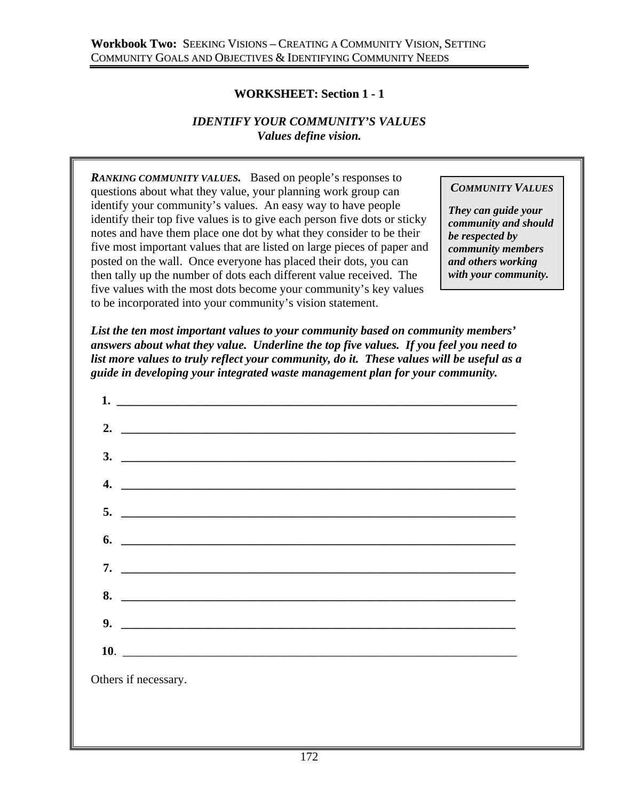## **WORKSHEET: Section 1 - 1**

## *IDENTIFY YOUR COMMUNITY'S VALUES Values define vision.*

*RANKING COMMUNITY VALUES.* Based on people's responses to questions about what they value, your planning work group can identify your community's values. An easy way to have people identify their top five values is to give each person five dots or sticky notes and have them place one dot by what they consider to be their five most important values that are listed on large pieces of paper and posted on the wall. Once everyone has placed their dots, you can then tally up the number of dots each different value received. The five values with the most dots become your community's key values to be incorporated into your community's vision statement.

### *COMMUNITY VALUES*

*They can guide your community and should be respected by community members and others working with your community.* 

*List the ten most important values to your community based on community members' answers about what they value. Underline the top five values. If you feel you need to list more values to truly reflect your community, do it. These values will be useful as a guide in developing your integrated waste management plan for your community.* 

| $\frac{3}{2}$                 |  |  |
|-------------------------------|--|--|
| $\overline{4.}$               |  |  |
|                               |  |  |
| $\bullet$ . $\qquad \qquad$   |  |  |
|                               |  |  |
| $8.$ $\overline{\phantom{a}}$ |  |  |
|                               |  |  |
| 10.                           |  |  |
|                               |  |  |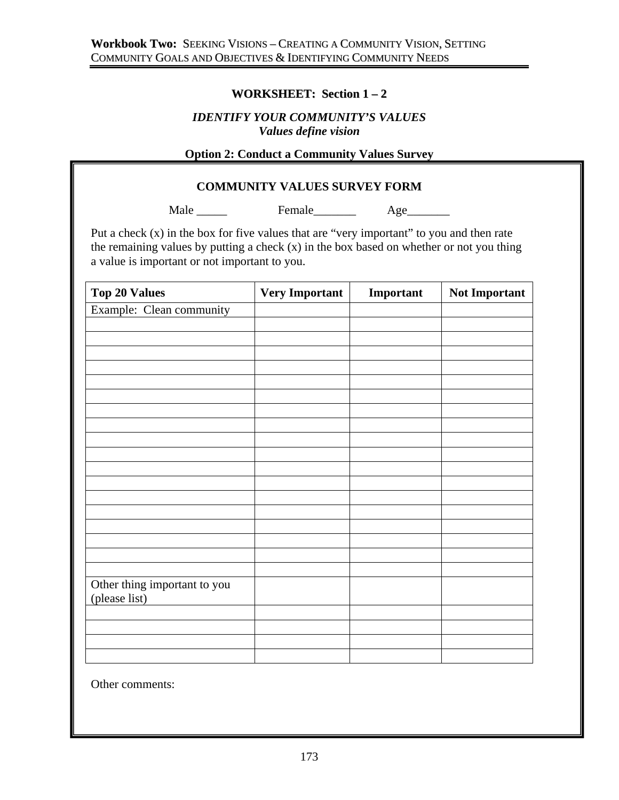## **WORKSHEET: Section 1 – 2**

### *IDENTIFY YOUR COMMUNITY'S VALUES Values define vision*

## **Option 2: Conduct a Community Values Survey**

### **COMMUNITY VALUES SURVEY FORM**

Male Female Age

Put a check (x) in the box for five values that are "very important" to you and then rate the remaining values by putting a check (x) in the box based on whether or not you thing a value is important or not important to you.

| <b>Top 20 Values</b>         | <b>Very Important</b> | Important | Not Important |
|------------------------------|-----------------------|-----------|---------------|
| Example: Clean community     |                       |           |               |
|                              |                       |           |               |
|                              |                       |           |               |
|                              |                       |           |               |
|                              |                       |           |               |
|                              |                       |           |               |
|                              |                       |           |               |
|                              |                       |           |               |
|                              |                       |           |               |
|                              |                       |           |               |
|                              |                       |           |               |
|                              |                       |           |               |
|                              |                       |           |               |
|                              |                       |           |               |
|                              |                       |           |               |
|                              |                       |           |               |
|                              |                       |           |               |
|                              |                       |           |               |
|                              |                       |           |               |
| Other thing important to you |                       |           |               |
| (please list)                |                       |           |               |
|                              |                       |           |               |
|                              |                       |           |               |
|                              |                       |           |               |
|                              |                       |           |               |

Other comments: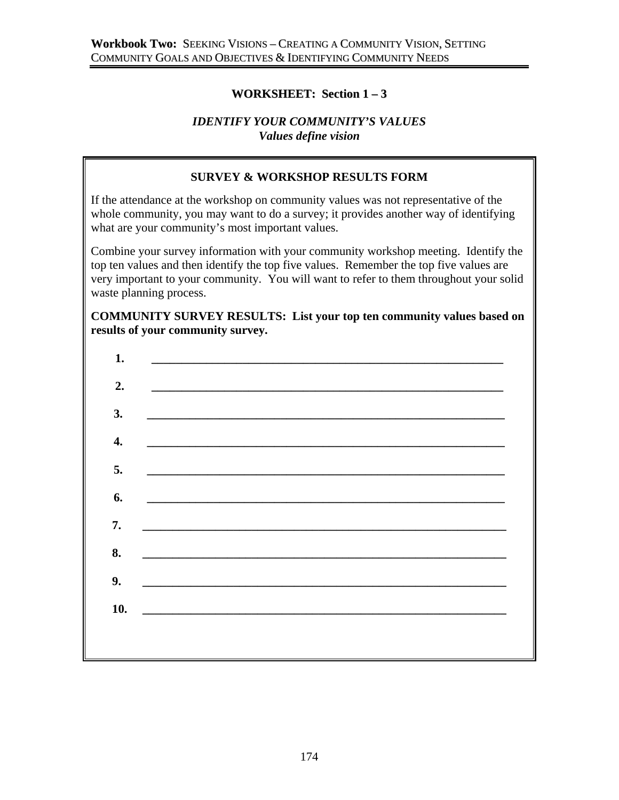## **WORKSHEET: Section 1 – 3**

### *IDENTIFY YOUR COMMUNITY'S VALUES Values define vision*

## **SURVEY & WORKSHOP RESULTS FORM**

If the attendance at the workshop on community values was not representative of the whole community, you may want to do a survey; it provides another way of identifying what are your community's most important values.

Combine your survey information with your community workshop meeting. Identify the top ten values and then identify the top five values. Remember the top five values are very important to your community. You will want to refer to them throughout your solid waste planning process.

### **COMMUNITY SURVEY RESULTS: List your top ten community values based on results of your community survey.**

| 1.  | <u> 1990 - Johann Stoff, deutscher Stoffen und der Stoffen und der Stoffen und der Stoffen und der Stoffen und de</u> |
|-----|-----------------------------------------------------------------------------------------------------------------------|
| 2.  |                                                                                                                       |
| 3.  | the contract of the contract of the contract of the contract of the contract of the contract of the                   |
| 4.  | <u> 1989 - Johann Harry Harry Harry Harry Harry Harry Harry Harry Harry Harry Harry Harry Harry Harry Harry Harry</u> |
| 5.  | <u> 1989 - Jan Samuel Barbara, margaret eta biztanleria (h. 1982).</u>                                                |
| 6.  | <u> 1989 - John Stoff, deutscher Stoff, der Stoff, der Stoff, der Stoff, der Stoff, der Stoff, der Stoff, der Sto</u> |
| 7.  |                                                                                                                       |
| 8.  |                                                                                                                       |
| 9.  |                                                                                                                       |
| 10. |                                                                                                                       |
|     |                                                                                                                       |
|     |                                                                                                                       |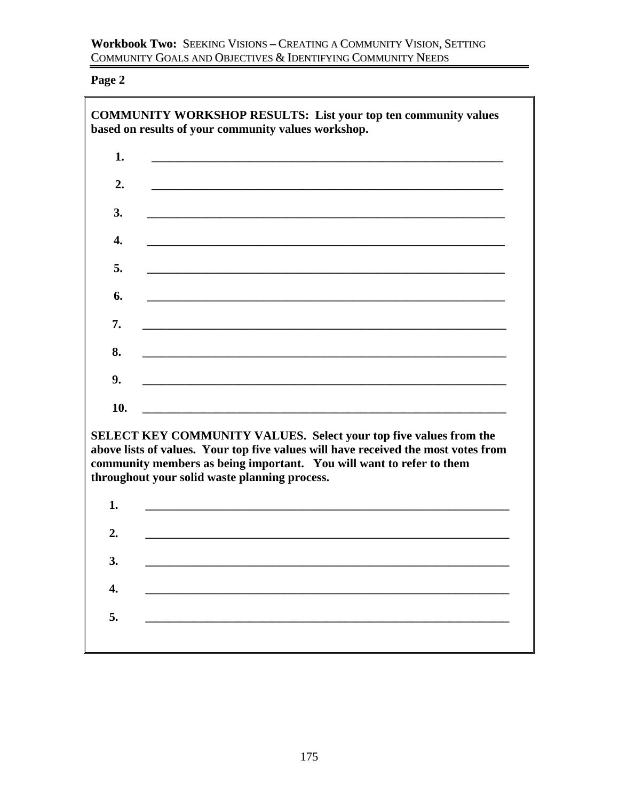**Page 2** 

|     | <b>COMMUNITY WORKSHOP RESULTS: List your top ten community values</b><br>based on results of your community values workshop.                            |
|-----|---------------------------------------------------------------------------------------------------------------------------------------------------------|
| 1.  |                                                                                                                                                         |
| 2.  |                                                                                                                                                         |
| 3.  |                                                                                                                                                         |
| 4.  |                                                                                                                                                         |
| 5.  |                                                                                                                                                         |
| 6.  |                                                                                                                                                         |
| 7.  |                                                                                                                                                         |
| 8.  |                                                                                                                                                         |
| 9.  |                                                                                                                                                         |
| 10. |                                                                                                                                                         |
|     | SELECT KEY COMMUNITY VALUES. Select your top five values from the<br>above lists of values. Your top five values will have received the most votes from |
|     | community members as being important. You will want to refer to them<br>throughout your solid waste planning process.                                   |
| 1.  |                                                                                                                                                         |
| 2.  |                                                                                                                                                         |
| 3.  |                                                                                                                                                         |
| 4.  |                                                                                                                                                         |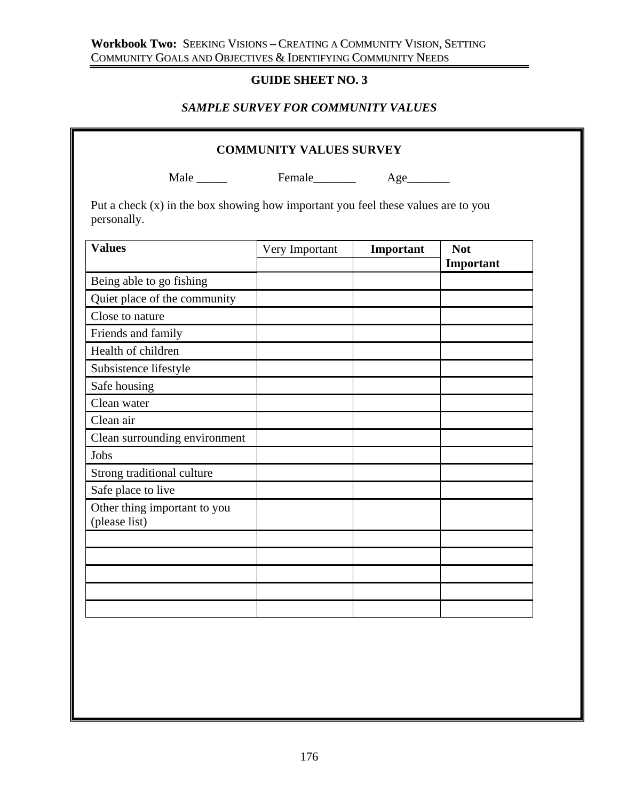## **Workbook Two:** SEEKING VISIONS – CREATING A COMMUNITY VISION, SETTING COMMUNITY GOALS AND OBJECTIVES & IDENTIFYING COMMUNITY NEEDS

# **GUIDE SHEET NO. 3**

# *SAMPLE SURVEY FOR COMMUNITY VALUES*

| Male Female Age                                                                                    |                |           |                         |  |
|----------------------------------------------------------------------------------------------------|----------------|-----------|-------------------------|--|
|                                                                                                    |                |           |                         |  |
| Put a check $(x)$ in the box showing how important you feel these values are to you<br>personally. |                |           |                         |  |
| <b>Values</b>                                                                                      | Very Important | Important | <b>Not</b><br>Important |  |
| Being able to go fishing                                                                           |                |           |                         |  |
| Quiet place of the community                                                                       |                |           |                         |  |
| Close to nature                                                                                    |                |           |                         |  |
| Friends and family                                                                                 |                |           |                         |  |
| Health of children                                                                                 |                |           |                         |  |
| Subsistence lifestyle                                                                              |                |           |                         |  |
| Safe housing                                                                                       |                |           |                         |  |
| Clean water                                                                                        |                |           |                         |  |
| Clean air                                                                                          |                |           |                         |  |
| Clean surrounding environment                                                                      |                |           |                         |  |
| Jobs                                                                                               |                |           |                         |  |
| Strong traditional culture                                                                         |                |           |                         |  |
| Safe place to live                                                                                 |                |           |                         |  |
| Other thing important to you<br>(please list)                                                      |                |           |                         |  |
|                                                                                                    |                |           |                         |  |
|                                                                                                    |                |           |                         |  |
|                                                                                                    |                |           |                         |  |
|                                                                                                    |                |           |                         |  |
|                                                                                                    |                |           |                         |  |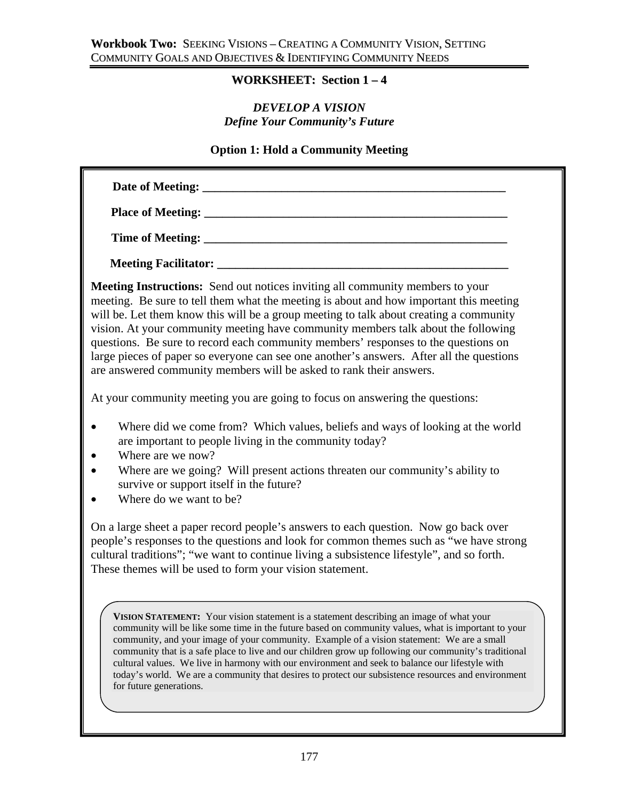## **WORKSHEET: Section 1 – 4**

## *DEVELOP A VISION Define Your Community's Future*

### **Option 1: Hold a Community Meeting**

| <b>Meeting Instructions:</b> Send out notices inviting all community members to your<br>meeting. Be sure to tell them what the meeting is about and how important this meeting<br>will be. Let them know this will be a group meeting to talk about creating a community<br>vision. At your community meeting have community members talk about the following<br>questions. Be sure to record each community members' responses to the questions on<br>large pieces of paper so everyone can see one another's answers. After all the questions<br>are answered community members will be asked to rank their answers. |  |
|------------------------------------------------------------------------------------------------------------------------------------------------------------------------------------------------------------------------------------------------------------------------------------------------------------------------------------------------------------------------------------------------------------------------------------------------------------------------------------------------------------------------------------------------------------------------------------------------------------------------|--|
| At your community meeting you are going to focus on answering the questions:                                                                                                                                                                                                                                                                                                                                                                                                                                                                                                                                           |  |
| Where did we come from? Which values, beliefs and ways of looking at the world                                                                                                                                                                                                                                                                                                                                                                                                                                                                                                                                         |  |

- are important to people living in the community today?
- Where are we now?
- Where are we going? Will present actions threaten our community's ability to survive or support itself in the future?
- Where do we want to be?

On a large sheet a paper record people's answers to each question. Now go back over people's responses to the questions and look for common themes such as "we have strong cultural traditions"; "we want to continue living a subsistence lifestyle", and so forth. These themes will be used to form your vision statement.

**VISION STATEMENT:** Your vision statement is a statement describing an image of what your community will be like some time in the future based on community values, what is important to your community, and your image of your community. Example of a vision statement: We are a small community that is a safe place to live and our children grow up following our community's traditional cultural values. We live in harmony with our environment and seek to balance our lifestyle with today's world. We are a community that desires to protect our subsistence resources and environment for future generations.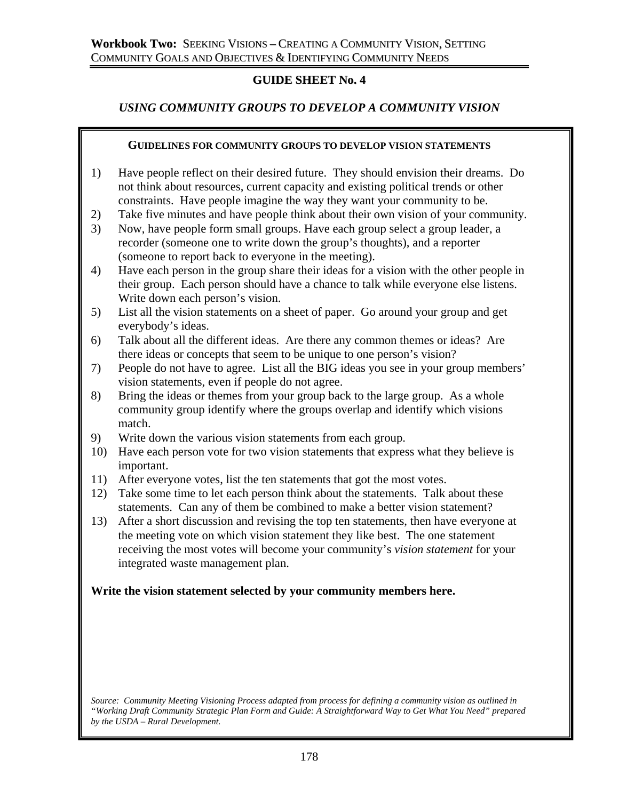## **GUIDE SHEET No. 4**

## *USING COMMUNITY GROUPS TO DEVELOP A COMMUNITY VISION*

### **GUIDELINES FOR COMMUNITY GROUPS TO DEVELOP VISION STATEMENTS**

- 1) Have people reflect on their desired future. They should envision their dreams. Do not think about resources, current capacity and existing political trends or other constraints. Have people imagine the way they want your community to be.
- 2) Take five minutes and have people think about their own vision of your community.
- 3) Now, have people form small groups. Have each group select a group leader, a recorder (someone one to write down the group's thoughts), and a reporter (someone to report back to everyone in the meeting).
- 4) Have each person in the group share their ideas for a vision with the other people in their group. Each person should have a chance to talk while everyone else listens. Write down each person's vision.
- 5) List all the vision statements on a sheet of paper. Go around your group and get everybody's ideas.
- 6) Talk about all the different ideas. Are there any common themes or ideas? Are there ideas or concepts that seem to be unique to one person's vision?
- 7) People do not have to agree. List all the BIG ideas you see in your group members' vision statements, even if people do not agree.
- 8) Bring the ideas or themes from your group back to the large group. As a whole community group identify where the groups overlap and identify which visions match.
- 9) Write down the various vision statements from each group.
- 10) Have each person vote for two vision statements that express what they believe is important.
- 11) After everyone votes, list the ten statements that got the most votes.
- 12) Take some time to let each person think about the statements. Talk about these statements. Can any of them be combined to make a better vision statement?
- 13) After a short discussion and revising the top ten statements, then have everyone at the meeting vote on which vision statement they like best. The one statement receiving the most votes will become your community's *vision statement* for your integrated waste management plan.

## **Write the vision statement selected by your community members here.**

*Source: Community Meeting Visioning Process adapted from process for defining a community vision as outlined in "Working Draft Community Strategic Plan Form and Guide: A Straightforward Way to Get What You Need" prepared by the USDA – Rural Development.*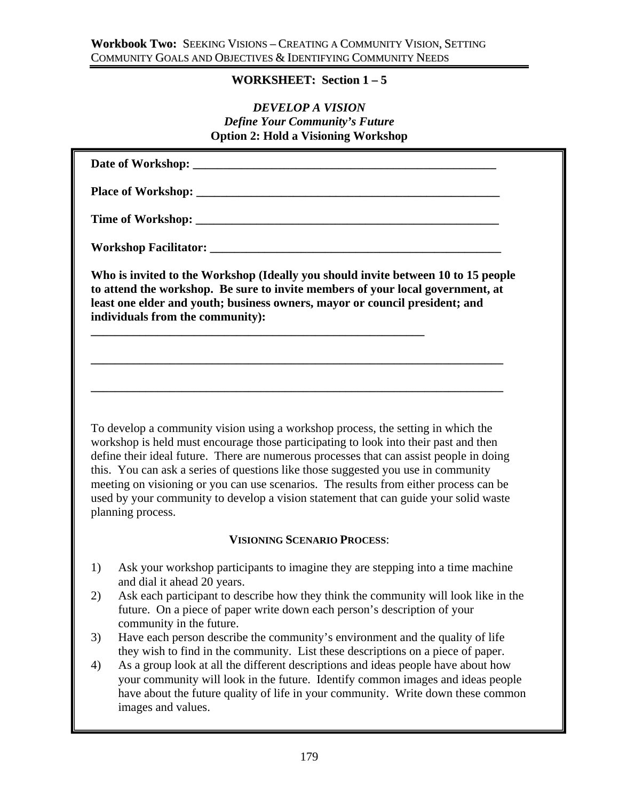### **WORKSHEET: Section 1 – 5**

## *DEVELOP A VISION Define Your Community's Future*  **Option 2: Hold a Visioning Workshop**

| Who is invited to the Workshop (Ideally you should invite between 10 to 15 people<br>to attend the workshop. Be sure to invite members of your local government, at<br>least one elder and youth; business owners, mayor or council president; and |  |
|----------------------------------------------------------------------------------------------------------------------------------------------------------------------------------------------------------------------------------------------------|--|
| individuals from the community):                                                                                                                                                                                                                   |  |

### **VISIONING SCENARIO PROCESS**:

- 1) Ask your workshop participants to imagine they are stepping into a time machine and dial it ahead 20 years.
- 2) Ask each participant to describe how they think the community will look like in the future. On a piece of paper write down each person's description of your community in the future.
- 3) Have each person describe the community's environment and the quality of life they wish to find in the community. List these descriptions on a piece of paper.
- 4) As a group look at all the different descriptions and ideas people have about how your community will look in the future. Identify common images and ideas people have about the future quality of life in your community. Write down these common images and values.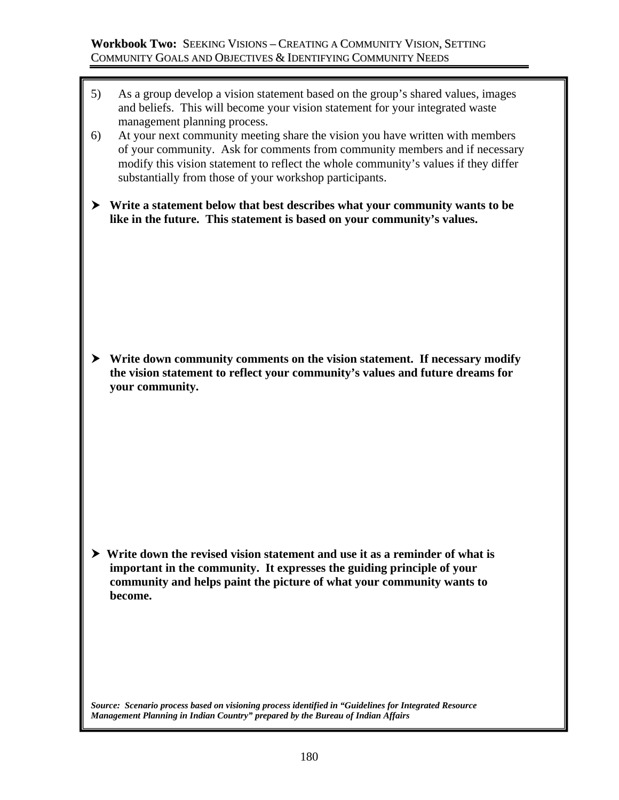- 5) As a group develop a vision statement based on the group's shared values, images and beliefs. This will become your vision statement for your integrated waste management planning process.
- 6) At your next community meeting share the vision you have written with members of your community. Ask for comments from community members and if necessary modify this vision statement to reflect the whole community's values if they differ substantially from those of your workshop participants.
- h **Write a statement below that best describes what your community wants to be like in the future. This statement is based on your community's values.**

 $\triangleright$  Write down community comments on the vision statement. If necessary modify **the vision statement to reflect your community's values and future dreams for your community.** 

 $\triangleright$  Write down the revised vision statement and use it as a reminder of what is **important in the community. It expresses the guiding principle of your community and helps paint the picture of what your community wants to become.** 

*Source: Scenario process based on visioning process identified in "Guidelines for Integrated Resource Management Planning in Indian Country" prepared by the Bureau of Indian Affairs*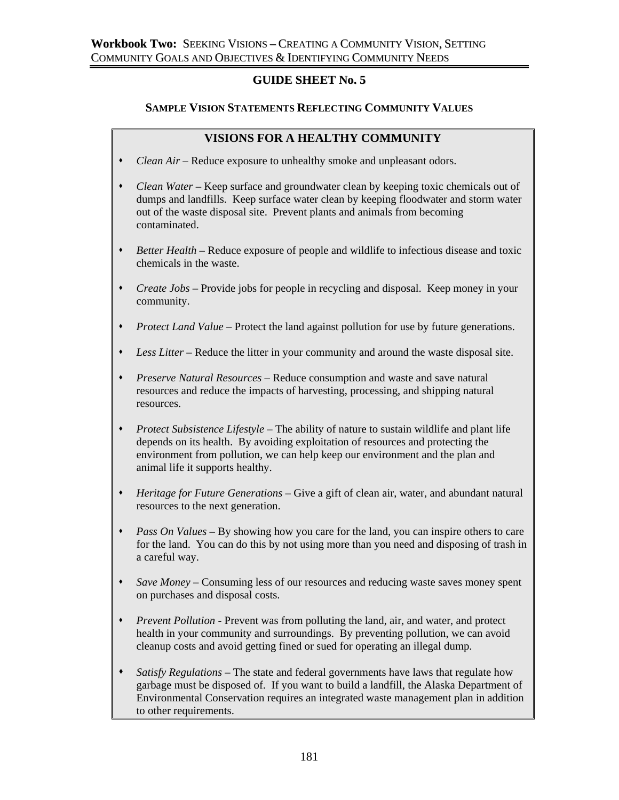## **GUIDE SHEET No. 5**

### **SAMPLE VISION STATEMENTS REFLECTING COMMUNITY VALUES**

### **VISIONS FOR A HEALTHY COMMUNITY**

- *Clean Air* Reduce exposure to unhealthy smoke and unpleasant odors.
- *Clean Water* Keep surface and groundwater clean by keeping toxic chemicals out of dumps and landfills. Keep surface water clean by keeping floodwater and storm water out of the waste disposal site. Prevent plants and animals from becoming contaminated.
- *Better Health* Reduce exposure of people and wildlife to infectious disease and toxic chemicals in the waste.
- *Create Jobs* Provide jobs for people in recycling and disposal. Keep money in your community.
- *Protect Land Value* Protect the land against pollution for use by future generations.
- *Less Litter* Reduce the litter in your community and around the waste disposal site.
- *Preserve Natural Resources* Reduce consumption and waste and save natural resources and reduce the impacts of harvesting, processing, and shipping natural resources.
- *Protect Subsistence Lifestyle* The ability of nature to sustain wildlife and plant life depends on its health. By avoiding exploitation of resources and protecting the environment from pollution, we can help keep our environment and the plan and animal life it supports healthy.
- *Heritage for Future Generations* Give a gift of clean air, water, and abundant natural resources to the next generation.
- *Pass On Values* By showing how you care for the land, you can inspire others to care for the land. You can do this by not using more than you need and disposing of trash in a careful way.
- *Save Money* Consuming less of our resources and reducing waste saves money spent on purchases and disposal costs.
- *Prevent Pollution -* Prevent was from polluting the land, air, and water, and protect health in your community and surroundings. By preventing pollution, we can avoid cleanup costs and avoid getting fined or sued for operating an illegal dump.
- *Satisfy Regulations* The state and federal governments have laws that regulate how garbage must be disposed of. If you want to build a landfill, the Alaska Department of Environmental Conservation requires an integrated waste management plan in addition to other requirements.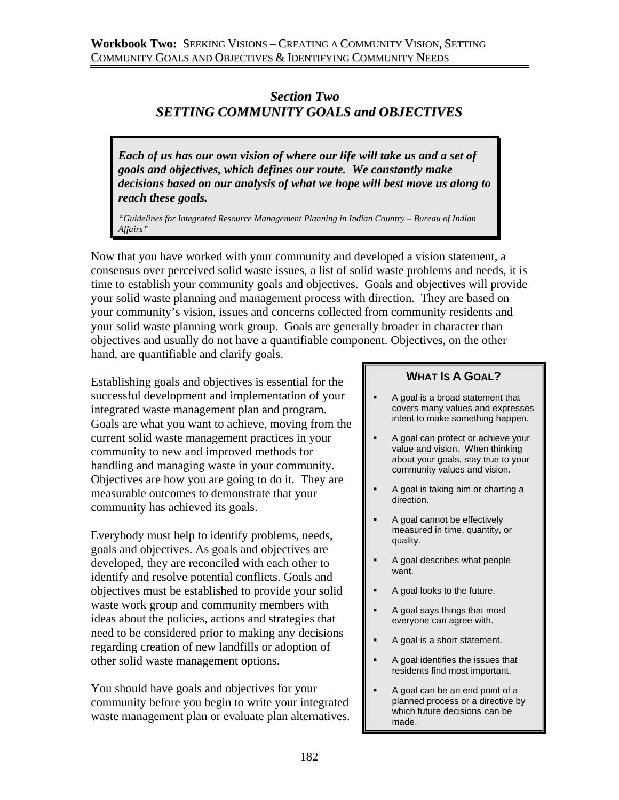# *Section Two SETTING COMMUNITY GOALS and OBJECTIVES*

*Each of us has our own vision of where our life will take us and a set of goals and objectives, which defines our route. We constantly make decisions based on our analysis of what we hope will best move us along to reach these goals.* 

*"Guidelines for Integrated Resource Management Planning in Indian Country – Bureau of Indian Affairs"*

Now that you have worked with your community and developed a vision statement, a consensus over perceived solid waste issues, a list of solid waste problems and needs, it is time to establish your community goals and objectives. Goals and objectives will provide your solid waste planning and management process with direction. They are based on your community's vision, issues and concerns collected from community residents and your solid waste planning work group. Goals are generally broader in character than objectives and usually do not have a quantifiable component. Objectives, on the other hand, are quantifiable and clarify goals.

Establishing goals and objectives is essential for the successful development and implementation of your integrated waste management plan and program. Goals are what you want to achieve, moving from the current solid waste management practices in your community to new and improved methods for handling and managing waste in your community. Objectives are how you are going to do it. They are measurable outcomes to demonstrate that your community has achieved its goals.

Everybody must help to identify problems, needs, goals and objectives. As goals and objectives are developed, they are reconciled with each other to identify and resolve potential conflicts. Goals and objectives must be established to provide your solid waste work group and community members with ideas about the policies, actions and strategies that need to be considered prior to making any decisions regarding creation of new landfills or adoption of other solid waste management options.

You should have goals and objectives for your community before you begin to write your integrated waste management plan or evaluate plan alternatives.

## **WHAT IS A GOAL?**

- A goal is a broad statement that covers many values and expresses intent to make something happen.
- A goal can protect or achieve your value and vision. When thinking about your goals, stay true to your community values and vision.
- A goal is taking aim or charting a direction.
- A goal cannot be effectively measured in time, quantity, or quality.
- A goal describes what people want.
- A goal looks to the future.
- A goal says things that most everyone can agree with.
- A goal is a short statement.
- A goal identifies the issues that residents find most important.
- A goal can be an end point of a planned process or a directive by which future decisions can be made.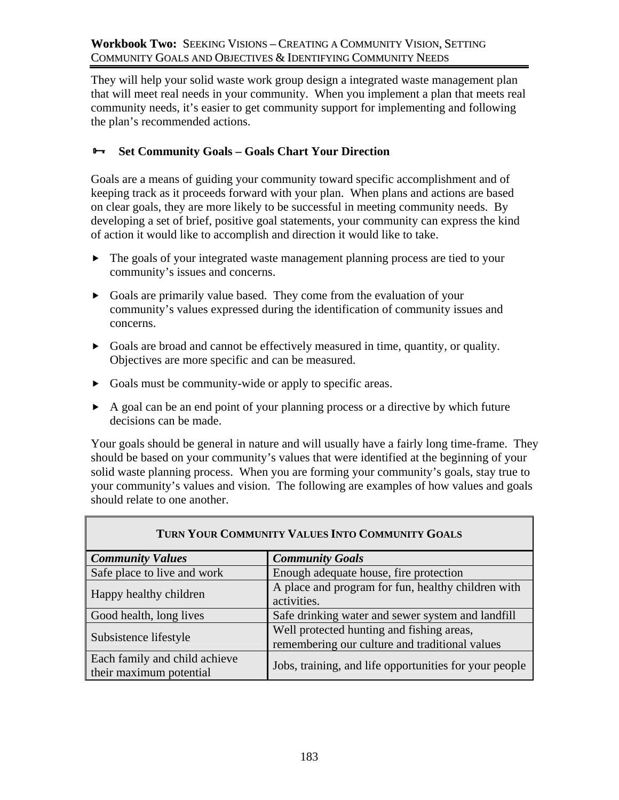They will help your solid waste work group design a integrated waste management plan that will meet real needs in your community. When you implement a plan that meets real community needs, it's easier to get community support for implementing and following the plan's recommended actions.

## ³ **Set Community Goals – Goals Chart Your Direction**

Goals are a means of guiding your community toward specific accomplishment and of keeping track as it proceeds forward with your plan. When plans and actions are based on clear goals, they are more likely to be successful in meeting community needs. By developing a set of brief, positive goal statements, your community can express the kind of action it would like to accomplish and direction it would like to take.

- $\blacktriangleright$  The goals of your integrated waste management planning process are tied to your community's issues and concerns.
- $\triangleright$  Goals are primarily value based. They come from the evaluation of your community's values expressed during the identification of community issues and concerns.
- $\triangleright$  Goals are broad and cannot be effectively measured in time, quantity, or quality. Objectives are more specific and can be measured.
- $\triangleright$  Goals must be community-wide or apply to specific areas.
- $\blacktriangleright$  A goal can be an end point of your planning process or a directive by which future decisions can be made.

Your goals should be general in nature and will usually have a fairly long time-frame. They should be based on your community's values that were identified at the beginning of your solid waste planning process. When you are forming your community's goals, stay true to your community's values and vision. The following are examples of how values and goals should relate to one another.

| TURN YOUR COMMUNITY VALUES INTO COMMUNITY GOALS          |                                                                                             |  |  |
|----------------------------------------------------------|---------------------------------------------------------------------------------------------|--|--|
| <b>Community Values</b>                                  | <b>Community Goals</b>                                                                      |  |  |
| Safe place to live and work                              | Enough adequate house, fire protection                                                      |  |  |
| Happy healthy children                                   | A place and program for fun, healthy children with<br>activities.                           |  |  |
| Good health, long lives                                  | Safe drinking water and sewer system and landfill                                           |  |  |
| Subsistence lifestyle                                    | Well protected hunting and fishing areas,<br>remembering our culture and traditional values |  |  |
| Each family and child achieve<br>their maximum potential | Jobs, training, and life opportunities for your people                                      |  |  |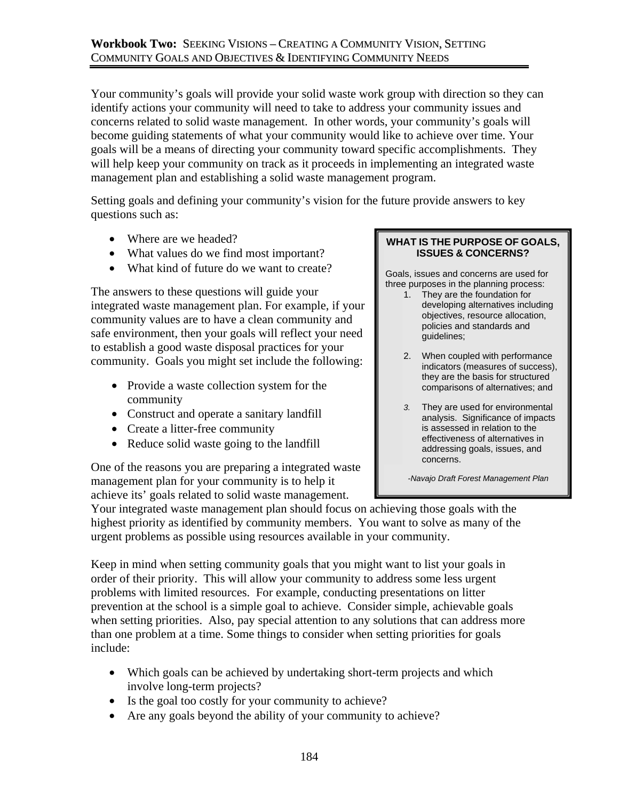## **Workbook Two:** SEEKING VISIONS – CREATING A COMMUNITY VISION, SETTING COMMUNITY GOALS AND OBJECTIVES & IDENTIFYING COMMUNITY NEEDS

Your community's goals will provide your solid waste work group with direction so they can identify actions your community will need to take to address your community issues and concerns related to solid waste management. In other words, your community's goals will become guiding statements of what your community would like to achieve over time. Your goals will be a means of directing your community toward specific accomplishments. They will help keep your community on track as it proceeds in implementing an integrated waste management plan and establishing a solid waste management program.

Setting goals and defining your community's vision for the future provide answers to key questions such as:

- Where are we headed?
- What values do we find most important?
- What kind of future do we want to create?

The answers to these questions will guide your integrated waste management plan. For example, if your community values are to have a clean community and safe environment, then your goals will reflect your need to establish a good waste disposal practices for your community. Goals you might set include the following:

- Provide a waste collection system for the community
- Construct and operate a sanitary landfill
- Create a litter-free community
- Reduce solid waste going to the landfill

One of the reasons you are preparing a integrated waste management plan for your community is to help it achieve its' goals related to solid waste management.

#### **WHAT IS THE PURPOSE OF GOALS, ISSUES & CONCERNS?**

Goals, issues and concerns are used for three purposes in the planning process:

- 1. They are the foundation for developing alternatives including objectives, resource allocation, policies and standards and guidelines;
- 2. When coupled with performance indicators (measures of success), they are the basis for structured comparisons of alternatives; and
- *3.* They are used for environmental analysis. Significance of impacts is assessed in relation to the effectiveness of alternatives in addressing goals, issues, and concerns.

 *-Navajo Draft Forest Management Plan* 

Your integrated waste management plan should focus on achieving those goals with the highest priority as identified by community members. You want to solve as many of the urgent problems as possible using resources available in your community.

Keep in mind when setting community goals that you might want to list your goals in order of their priority. This will allow your community to address some less urgent problems with limited resources. For example, conducting presentations on litter prevention at the school is a simple goal to achieve. Consider simple, achievable goals when setting priorities. Also, pay special attention to any solutions that can address more than one problem at a time. Some things to consider when setting priorities for goals include:

- Which goals can be achieved by undertaking short-term projects and which involve long-term projects?
- Is the goal too costly for your community to achieve?
- Are any goals beyond the ability of your community to achieve?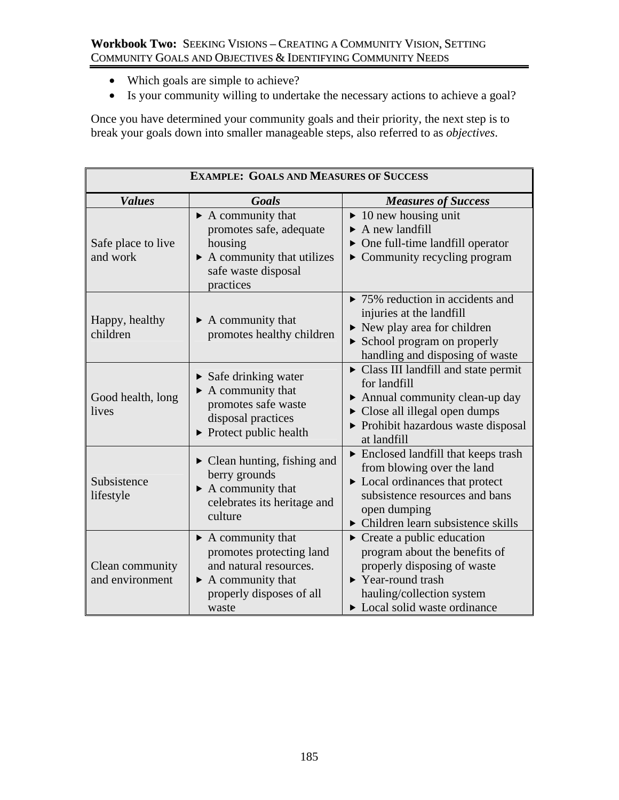- Which goals are simple to achieve?
- Is your community willing to undertake the necessary actions to achieve a goal?

Once you have determined your community goals and their priority, the next step is to break your goals down into smaller manageable steps, also referred to as *objectives*.

| <b>EXAMPLE: GOALS AND MEASURES OF SUCCESS</b> |                                                                                                                                                                       |                                                                                                                                                                                                                                             |  |
|-----------------------------------------------|-----------------------------------------------------------------------------------------------------------------------------------------------------------------------|---------------------------------------------------------------------------------------------------------------------------------------------------------------------------------------------------------------------------------------------|--|
| <b>Values</b>                                 | Goals                                                                                                                                                                 | <b>Measures of Success</b>                                                                                                                                                                                                                  |  |
| Safe place to live<br>and work                | $\triangleright$ A community that<br>promotes safe, adequate<br>housing<br>$\triangleright$ A community that utilizes<br>safe waste disposal<br>practices             | $\blacktriangleright$ 10 new housing unit<br>$\triangleright$ A new landfill<br>$\triangleright$ One full-time landfill operator<br>• Community recycling program                                                                           |  |
| Happy, healthy<br>children                    | $\triangleright$ A community that<br>promotes healthy children                                                                                                        | $\triangleright$ 75% reduction in accidents and<br>injuries at the landfill<br>$\triangleright$ New play area for children<br>$\triangleright$ School program on properly<br>handling and disposing of waste                                |  |
| Good health, long<br>lives                    | $\triangleright$ Safe drinking water<br>$\blacktriangleright$ A community that<br>promotes safe waste<br>disposal practices<br>$\triangleright$ Protect public health | • Class III landfill and state permit<br>for landfill<br>$\triangleright$ Annual community clean-up day<br>Close all illegal open dumps<br>Prohibit hazardous waste disposal<br>at landfill                                                 |  |
| Subsistence<br>lifestyle                      | $\triangleright$ Clean hunting, fishing and<br>berry grounds<br>$\blacktriangleright$ A community that<br>celebrates its heritage and<br>culture                      | $\triangleright$ Enclosed landfill that keeps trash<br>from blowing over the land<br>$\triangleright$ Local ordinances that protect<br>subsistence resources and bans<br>open dumping<br>$\triangleright$ Children learn subsistence skills |  |
| Clean community<br>and environment            | $\triangleright$ A community that<br>promotes protecting land<br>and natural resources.<br>$\triangleright$ A community that<br>properly disposes of all<br>waste     | $\triangleright$ Create a public education<br>program about the benefits of<br>properly disposing of waste<br>$\blacktriangleright$ Year-round trash<br>hauling/collection system<br>$\triangleright$ Local solid waste ordinance           |  |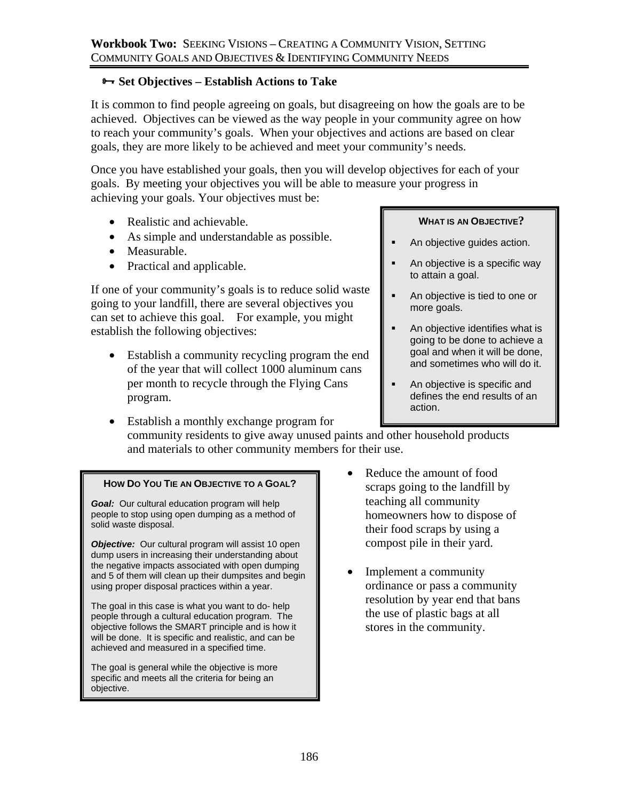## $\rightarrow$  **Set Objectives – Establish Actions to Take**

It is common to find people agreeing on goals, but disagreeing on how the goals are to be achieved. Objectives can be viewed as the way people in your community agree on how to reach your community's goals. When your objectives and actions are based on clear goals, they are more likely to be achieved and meet your community's needs.

Once you have established your goals, then you will develop objectives for each of your goals. By meeting your objectives you will be able to measure your progress in achieving your goals. Your objectives must be:

- Realistic and achievable.
- As simple and understandable as possible.
- Measurable.
- Practical and applicable.

If one of your community's goals is to reduce solid waste going to your landfill, there are several objectives you can set to achieve this goal. For example, you might establish the following objectives:

- Establish a community recycling program the end of the year that will collect 1000 aluminum cans per month to recycle through the Flying Cans program.
- Establish a monthly exchange program for

community residents to give away unused paints and other household products and materials to other community members for their use.

### **HOW DO YOU TIE AN OBJECTIVE TO A GOAL?**

*Goal:* Our cultural education program will help people to stop using open dumping as a method of solid waste disposal.

*Objective:* Our cultural program will assist 10 open dump users in increasing their understanding about the negative impacts associated with open dumping and 5 of them will clean up their dumpsites and begin using proper disposal practices within a year.

The goal in this case is what you want to do- help people through a cultural education program. The objective follows the SMART principle and is how it will be done. It is specific and realistic, and can be achieved and measured in a specified time.

The goal is general while the objective is more specific and meets all the criteria for being an objective.

- Reduce the amount of food scraps going to the landfill by teaching all community homeowners how to dispose of their food scraps by using a compost pile in their yard.
- Implement a community ordinance or pass a community resolution by year end that bans the use of plastic bags at all stores in the community.

### **WHAT IS AN OBJECTIVE?**

- **An objective guides action.**
- An objective is a specific way to attain a goal.
- An objective is tied to one or more goals.
- **An objective identifies what is** going to be done to achieve a goal and when it will be done, and sometimes who will do it.
- An objective is specific and defines the end results of an action.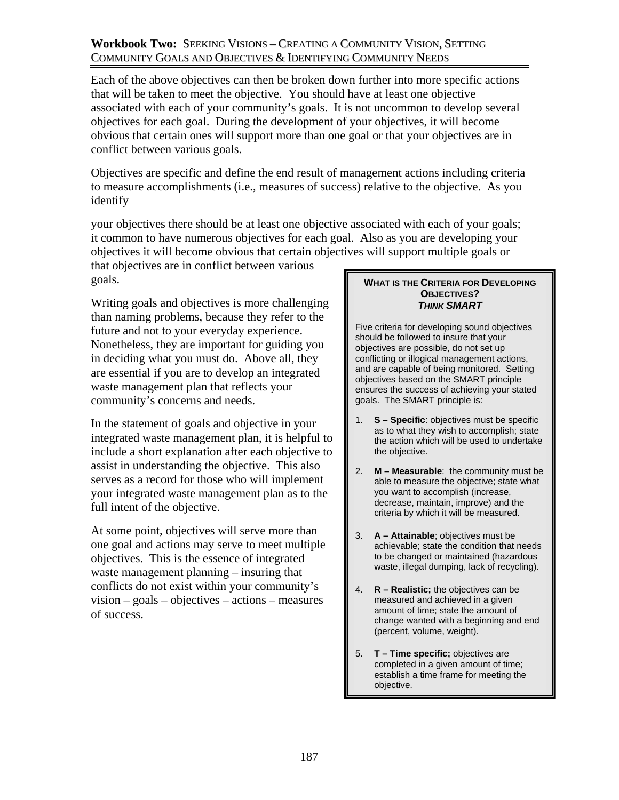## **Workbook Two:** SEEKING VISIONS – CREATING A COMMUNITY VISION, SETTING COMMUNITY GOALS AND OBJECTIVES & IDENTIFYING COMMUNITY NEEDS

Each of the above objectives can then be broken down further into more specific actions that will be taken to meet the objective. You should have at least one objective associated with each of your community's goals. It is not uncommon to develop several objectives for each goal. During the development of your objectives, it will become obvious that certain ones will support more than one goal or that your objectives are in conflict between various goals.

Objectives are specific and define the end result of management actions including criteria to measure accomplishments (i.e., measures of success) relative to the objective. As you identify

your objectives there should be at least one objective associated with each of your goals; it common to have numerous objectives for each goal. Also as you are developing your objectives it will become obvious that certain objectives will support multiple goals or

that objectives are in conflict between various goals.

Writing goals and objectives is more challenging than naming problems, because they refer to the future and not to your everyday experience. Nonetheless, they are important for guiding you in deciding what you must do. Above all, they are essential if you are to develop an integrated waste management plan that reflects your community's concerns and needs.

In the statement of goals and objective in your integrated waste management plan, it is helpful to include a short explanation after each objective to assist in understanding the objective. This also serves as a record for those who will implement your integrated waste management plan as to the full intent of the objective.

At some point, objectives will serve more than one goal and actions may serve to meet multiple objectives. This is the essence of integrated waste management planning – insuring that conflicts do not exist within your community's vision – goals – objectives – actions – measures of success.

#### **WHAT IS THE CRITERIA FOR DEVELOPING OBJECTIVES?**  *THINK SMART*

Five criteria for developing sound objectives should be followed to insure that your objectives are possible, do not set up conflicting or illogical management actions, and are capable of being monitored. Setting objectives based on the SMART principle ensures the success of achieving your stated goals. The SMART principle is:

- 1. **S Specific**: objectives must be specific as to what they wish to accomplish; state the action which will be used to undertake the objective.
- 2. **M Measurable**: the community must be able to measure the objective; state what you want to accomplish (increase, decrease, maintain, improve) and the criteria by which it will be measured.
- 3. **A Attainable**; objectives must be achievable; state the condition that needs to be changed or maintained (hazardous waste, illegal dumping, lack of recycling).
- 4. **R Realistic;** the objectives can be measured and achieved in a given amount of time; state the amount of change wanted with a beginning and end (percent, volume, weight).
- 5. **T Time specific;** objectives are completed in a given amount of time; establish a time frame for meeting the objective.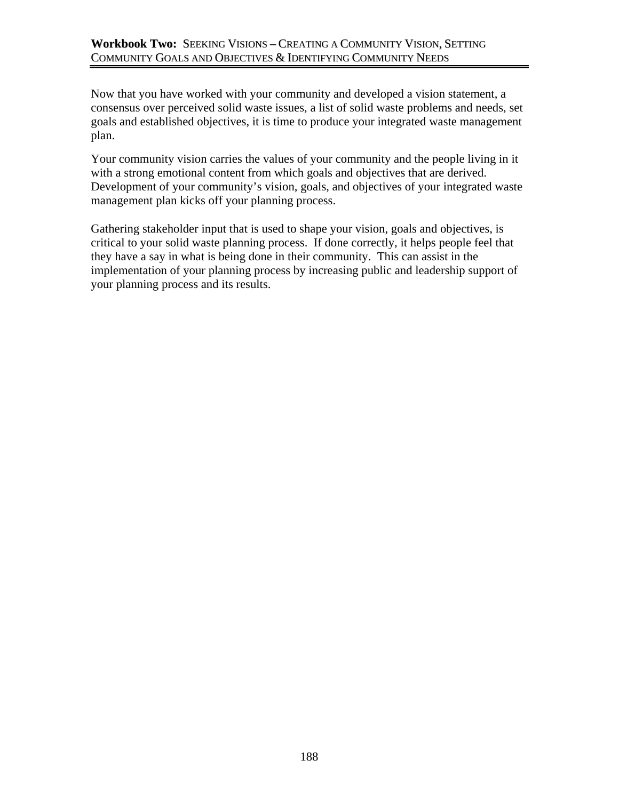Now that you have worked with your community and developed a vision statement, a consensus over perceived solid waste issues, a list of solid waste problems and needs, set goals and established objectives, it is time to produce your integrated waste management plan.

Your community vision carries the values of your community and the people living in it with a strong emotional content from which goals and objectives that are derived. Development of your community's vision, goals, and objectives of your integrated waste management plan kicks off your planning process.

Gathering stakeholder input that is used to shape your vision, goals and objectives, is critical to your solid waste planning process. If done correctly, it helps people feel that they have a say in what is being done in their community. This can assist in the implementation of your planning process by increasing public and leadership support of your planning process and its results.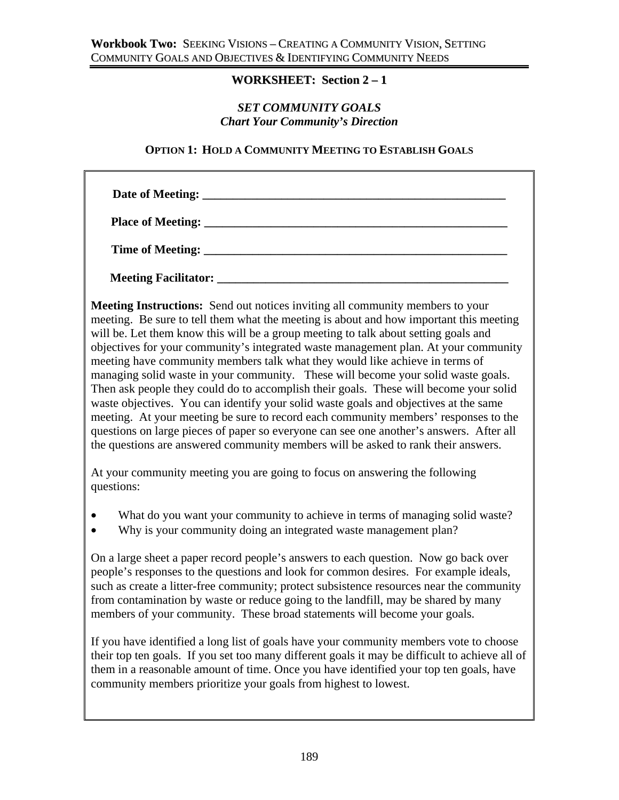## **WORKSHEET: Section 2 – 1**

### *SET COMMUNITY GOALS Chart Your Community's Direction*

### **OPTION 1: HOLD A COMMUNITY MEETING TO ESTABLISH GOALS**

| <b>Meeting Facilitator:</b> |  |  |
|-----------------------------|--|--|

**Meeting Instructions:** Send out notices inviting all community members to your meeting. Be sure to tell them what the meeting is about and how important this meeting will be. Let them know this will be a group meeting to talk about setting goals and objectives for your community's integrated waste management plan. At your community meeting have community members talk what they would like achieve in terms of managing solid waste in your community. These will become your solid waste goals. Then ask people they could do to accomplish their goals. These will become your solid waste objectives. You can identify your solid waste goals and objectives at the same meeting. At your meeting be sure to record each community members' responses to the questions on large pieces of paper so everyone can see one another's answers. After all the questions are answered community members will be asked to rank their answers.

At your community meeting you are going to focus on answering the following questions:

- What do you want your community to achieve in terms of managing solid waste?
- Why is your community doing an integrated waste management plan?

On a large sheet a paper record people's answers to each question. Now go back over people's responses to the questions and look for common desires. For example ideals, such as create a litter-free community; protect subsistence resources near the community from contamination by waste or reduce going to the landfill, may be shared by many members of your community. These broad statements will become your goals.

If you have identified a long list of goals have your community members vote to choose their top ten goals. If you set too many different goals it may be difficult to achieve all of them in a reasonable amount of time. Once you have identified your top ten goals, have community members prioritize your goals from highest to lowest.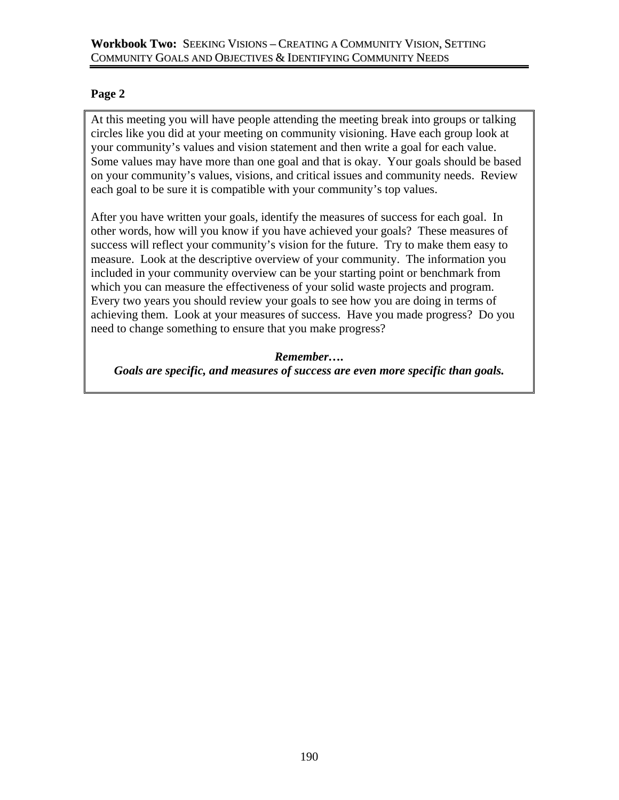### **Workbook Two:** SEEKING VISIONS – CREATING A COMMUNITY VISION, SETTING COMMUNITY GOALS AND OBJECTIVES & IDENTIFYING COMMUNITY NEEDS

## **Page 2**

At this meeting you will have people attending the meeting break into groups or talking circles like you did at your meeting on community visioning. Have each group look at your community's values and vision statement and then write a goal for each value. Some values may have more than one goal and that is okay. Your goals should be based on your community's values, visions, and critical issues and community needs. Review each goal to be sure it is compatible with your community's top values.

After you have written your goals, identify the measures of success for each goal. In other words, how will you know if you have achieved your goals? These measures of success will reflect your community's vision for the future. Try to make them easy to measure. Look at the descriptive overview of your community. The information you included in your community overview can be your starting point or benchmark from which you can measure the effectiveness of your solid waste projects and program. Every two years you should review your goals to see how you are doing in terms of achieving them. Look at your measures of success. Have you made progress? Do you need to change something to ensure that you make progress?

*Remember…. Goals are specific, and measures of success are even more specific than goals.*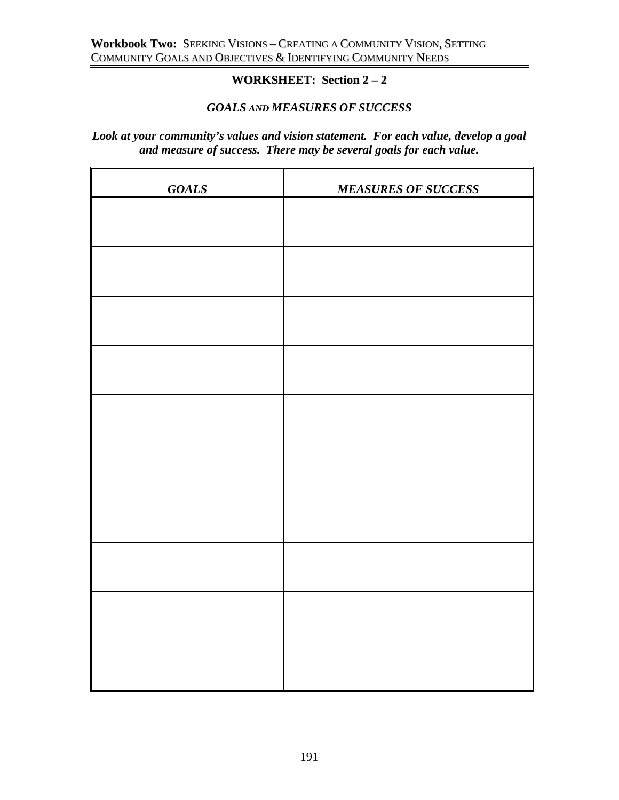# **WORKSHEET: Section 2 – 2**

## *GOALS AND MEASURES OF SUCCESS*

## *Look at your community's values and vision statement. For each value, develop a goal and measure of success. There may be several goals for each value.*

| <b>GOALS</b> | <b>MEASURES OF SUCCESS</b> |
|--------------|----------------------------|
|              |                            |
|              |                            |
|              |                            |
|              |                            |
|              |                            |
|              |                            |
|              |                            |
|              |                            |
|              |                            |
|              |                            |
|              |                            |
|              |                            |
|              |                            |
|              |                            |
|              |                            |
|              |                            |
|              |                            |
|              |                            |
|              |                            |
|              |                            |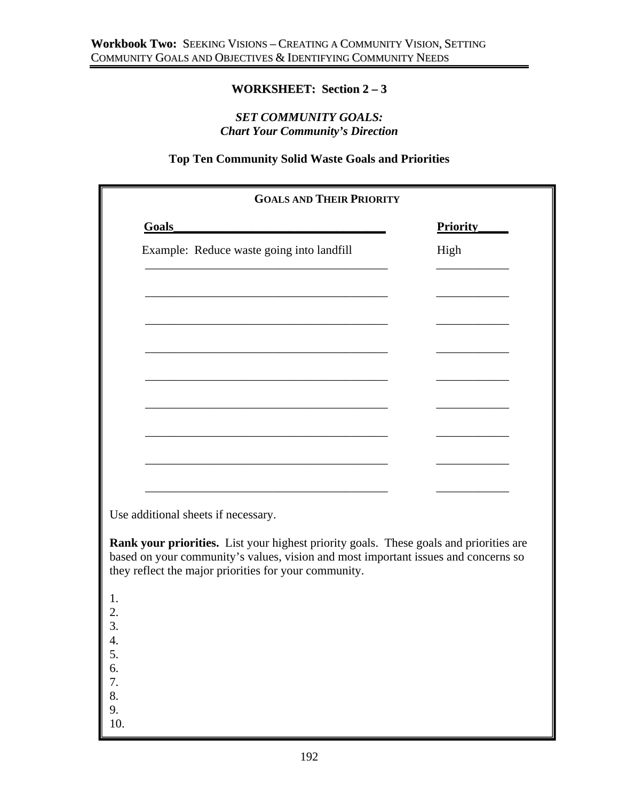## **WORKSHEET: Section 2 – 3**

## *SET COMMUNITY GOALS: Chart Your Community's Direction*

## **Top Ten Community Solid Waste Goals and Priorities**

| <b>GOALS AND THEIR PRIORITY</b>                                                                                                                                              |                 |
|------------------------------------------------------------------------------------------------------------------------------------------------------------------------------|-----------------|
| Goals                                                                                                                                                                        | <b>Priority</b> |
| Example: Reduce waste going into landfill                                                                                                                                    | High            |
|                                                                                                                                                                              |                 |
|                                                                                                                                                                              |                 |
|                                                                                                                                                                              |                 |
|                                                                                                                                                                              |                 |
|                                                                                                                                                                              |                 |
|                                                                                                                                                                              |                 |
|                                                                                                                                                                              |                 |
|                                                                                                                                                                              |                 |
|                                                                                                                                                                              |                 |
|                                                                                                                                                                              |                 |
| Use additional sheets if necessary.                                                                                                                                          |                 |
|                                                                                                                                                                              |                 |
| Rank your priorities. List your highest priority goals. These goals and priorities are<br>based on your community's values, vision and most important issues and concerns so |                 |
| they reflect the major priorities for your community.                                                                                                                        |                 |
|                                                                                                                                                                              |                 |
|                                                                                                                                                                              |                 |
|                                                                                                                                                                              |                 |
|                                                                                                                                                                              |                 |
| 4. 5. 6. 7. 8. 9.                                                                                                                                                            |                 |
|                                                                                                                                                                              |                 |
| 10                                                                                                                                                                           |                 |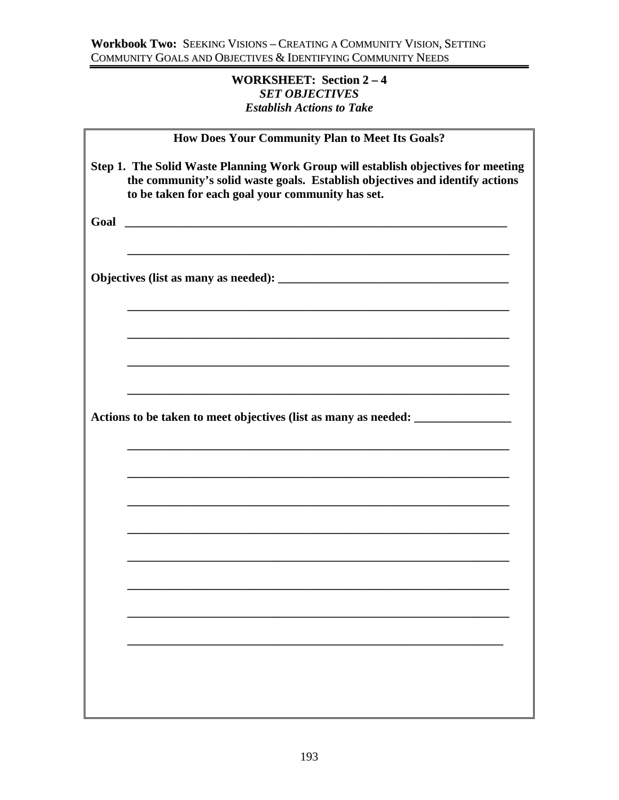## **WORKSHEET: Section 2 – 4** *SET OBJECTIVES Establish Actions to Take*

| How Does Your Community Plan to Meet Its Goals?                                                                                                                                                                        |
|------------------------------------------------------------------------------------------------------------------------------------------------------------------------------------------------------------------------|
| Step 1. The Solid Waste Planning Work Group will establish objectives for meeting<br>the community's solid waste goals. Establish objectives and identify actions<br>to be taken for each goal your community has set. |
|                                                                                                                                                                                                                        |
|                                                                                                                                                                                                                        |
|                                                                                                                                                                                                                        |
|                                                                                                                                                                                                                        |
| Actions to be taken to meet objectives (list as many as needed: ________________                                                                                                                                       |
|                                                                                                                                                                                                                        |
|                                                                                                                                                                                                                        |
|                                                                                                                                                                                                                        |
|                                                                                                                                                                                                                        |
|                                                                                                                                                                                                                        |
|                                                                                                                                                                                                                        |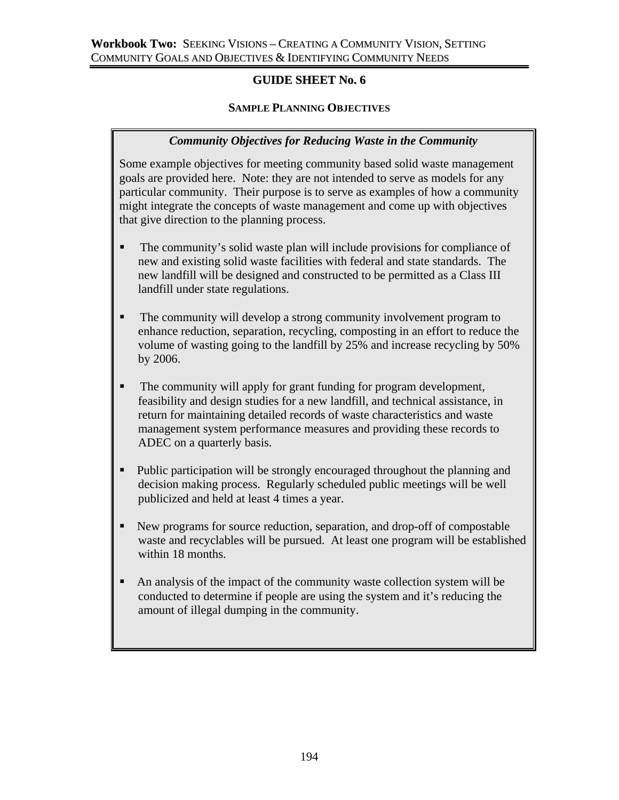## **GUIDE SHEET No. 6**

## **SAMPLE PLANNING OBJECTIVES**

## *Community Objectives for Reducing Waste in the Community*

Some example objectives for meeting community based solid waste management goals are provided here. Note: they are not intended to serve as models for any particular community. Their purpose is to serve as examples of how a community might integrate the concepts of waste management and come up with objectives that give direction to the planning process.

- The community's solid waste plan will include provisions for compliance of new and existing solid waste facilities with federal and state standards. The new landfill will be designed and constructed to be permitted as a Class III landfill under state regulations.
- The community will develop a strong community involvement program to enhance reduction, separation, recycling, composting in an effort to reduce the volume of wasting going to the landfill by 25% and increase recycling by 50% by 2006.
- The community will apply for grant funding for program development, feasibility and design studies for a new landfill, and technical assistance, in return for maintaining detailed records of waste characteristics and waste management system performance measures and providing these records to ADEC on a quarterly basis.
- Public participation will be strongly encouraged throughout the planning and decision making process. Regularly scheduled public meetings will be well publicized and held at least 4 times a year.
- New programs for source reduction, separation, and drop-off of compostable waste and recyclables will be pursued. At least one program will be established within 18 months.
- An analysis of the impact of the community waste collection system will be conducted to determine if people are using the system and it's reducing the amount of illegal dumping in the community.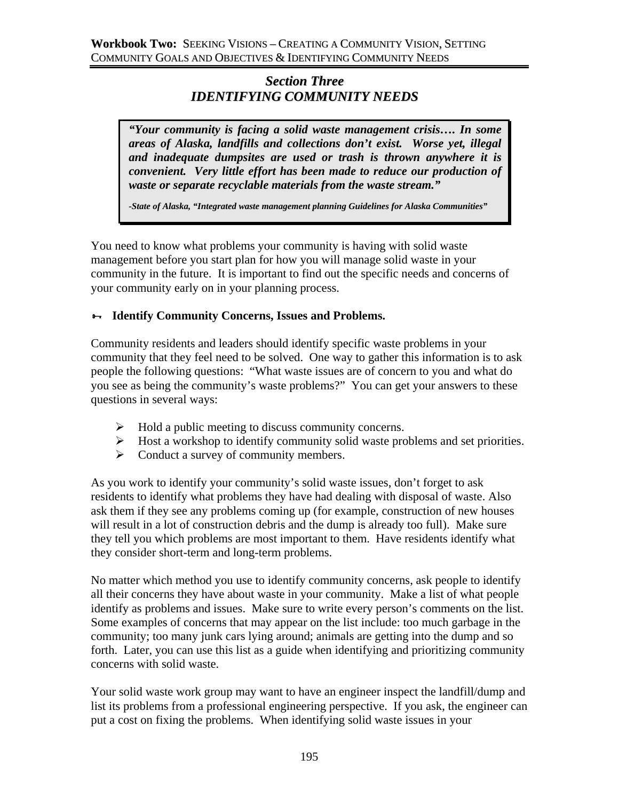## *Section Three IDENTIFYING COMMUNITY NEEDS*

*"Your community is facing a solid waste management crisis…. In some areas of Alaska, landfills and collections don't exist. Worse yet, illegal and inadequate dumpsites are used or trash is thrown anywhere it is convenient. Very little effort has been made to reduce our production of waste or separate recyclable materials from the waste stream."*

*-State of Alaska, "Integrated waste management planning Guidelines for Alaska Communities"*

You need to know what problems your community is having with solid waste management before you start plan for how you will manage solid waste in your community in the future. It is important to find out the specific needs and concerns of your community early on in your planning process.

## ³ **Identify Community Concerns, Issues and Problems.**

Community residents and leaders should identify specific waste problems in your community that they feel need to be solved. One way to gather this information is to ask people the following questions: "What waste issues are of concern to you and what do you see as being the community's waste problems?" You can get your answers to these questions in several ways:

- $\triangleright$  Hold a public meeting to discuss community concerns.
- $\triangleright$  Host a workshop to identify community solid waste problems and set priorities.
- $\triangleright$  Conduct a survey of community members.

As you work to identify your community's solid waste issues, don't forget to ask residents to identify what problems they have had dealing with disposal of waste. Also ask them if they see any problems coming up (for example, construction of new houses will result in a lot of construction debris and the dump is already too full). Make sure they tell you which problems are most important to them. Have residents identify what they consider short-term and long-term problems.

No matter which method you use to identify community concerns, ask people to identify all their concerns they have about waste in your community. Make a list of what people identify as problems and issues. Make sure to write every person's comments on the list. Some examples of concerns that may appear on the list include: too much garbage in the community; too many junk cars lying around; animals are getting into the dump and so forth. Later, you can use this list as a guide when identifying and prioritizing community concerns with solid waste.

Your solid waste work group may want to have an engineer inspect the landfill/dump and list its problems from a professional engineering perspective. If you ask, the engineer can put a cost on fixing the problems. When identifying solid waste issues in your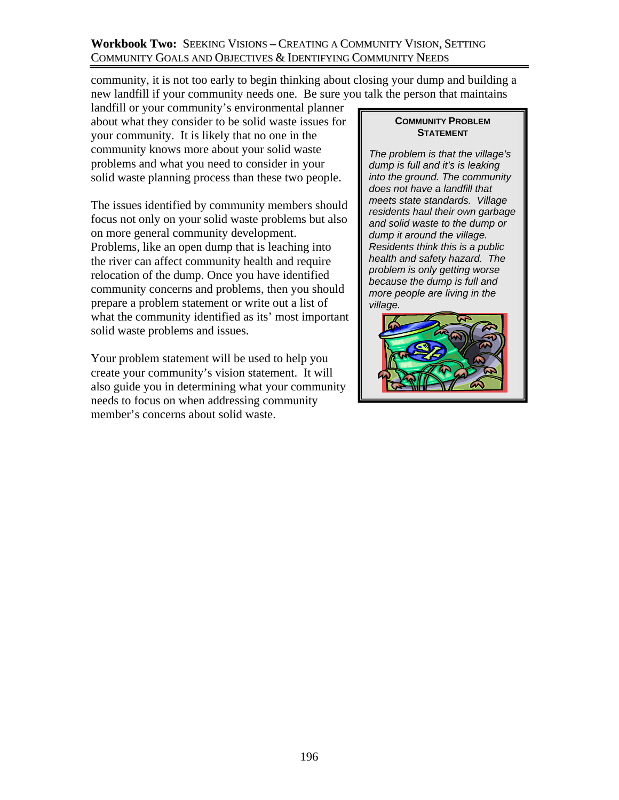## **Workbook Two:** SEEKING VISIONS – CREATING A COMMUNITY VISION, SETTING COMMUNITY GOALS AND OBJECTIVES & IDENTIFYING COMMUNITY NEEDS

community, it is not too early to begin thinking about closing your dump and building a new landfill if your community needs one. Be sure you talk the person that maintains

landfill or your community's environmental planner about what they consider to be solid waste issues for your community. It is likely that no one in the community knows more about your solid waste problems and what you need to consider in your solid waste planning process than these two people.

The issues identified by community members should focus not only on your solid waste problems but also on more general community development. Problems, like an open dump that is leaching into the river can affect community health and require relocation of the dump. Once you have identified community concerns and problems, then you should prepare a problem statement or write out a list of what the community identified as its' most important solid waste problems and issues.

Your problem statement will be used to help you create your community's vision statement. It will also guide you in determining what your community needs to focus on when addressing community member's concerns about solid waste.

#### **COMMUNITY PROBLEM STATEMENT**

*The problem is that the village's dump is full and it's is leaking into the ground. The community does not have a landfill that meets state standards. Village residents haul their own garbage and solid waste to the dump or dump it around the village. Residents think this is a public health and safety hazard. The problem is only getting worse because the dump is full and more people are living in the village.* 

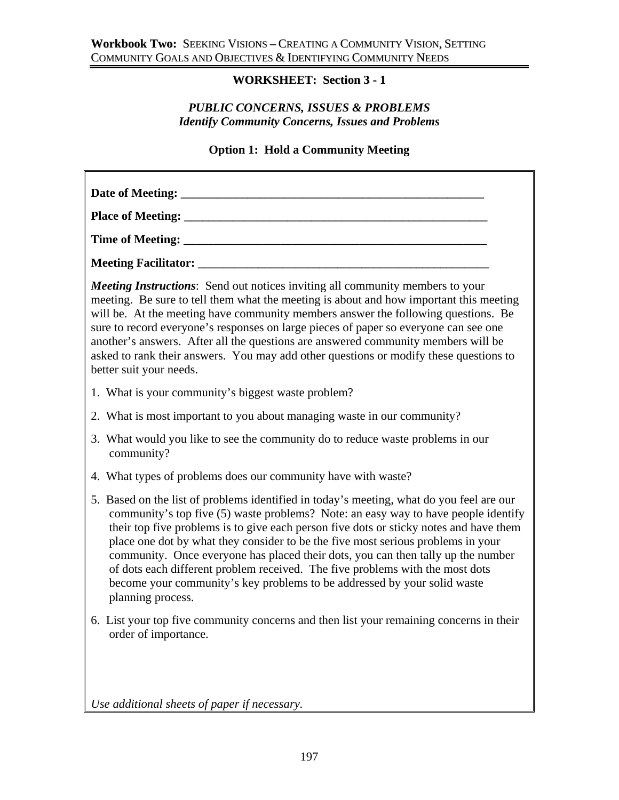# **WORKSHEET: Section 3 - 1**

## *PUBLIC CONCERNS, ISSUES & PROBLEMS Identify Community Concerns, Issues and Problems*

## **Option 1: Hold a Community Meeting**

| Date of Meeting:                                                                                                                                                                                                                                                                                                                                                                                                                                                                                                                                                                                                                   |
|------------------------------------------------------------------------------------------------------------------------------------------------------------------------------------------------------------------------------------------------------------------------------------------------------------------------------------------------------------------------------------------------------------------------------------------------------------------------------------------------------------------------------------------------------------------------------------------------------------------------------------|
|                                                                                                                                                                                                                                                                                                                                                                                                                                                                                                                                                                                                                                    |
|                                                                                                                                                                                                                                                                                                                                                                                                                                                                                                                                                                                                                                    |
|                                                                                                                                                                                                                                                                                                                                                                                                                                                                                                                                                                                                                                    |
| <b>Meeting Instructions:</b> Send out notices inviting all community members to your<br>meeting. Be sure to tell them what the meeting is about and how important this meeting<br>will be. At the meeting have community members answer the following questions. Be<br>sure to record everyone's responses on large pieces of paper so everyone can see one<br>another's answers. After all the questions are answered community members will be<br>asked to rank their answers. You may add other questions or modify these questions to<br>better suit your needs.                                                               |
| 1. What is your community's biggest waste problem?                                                                                                                                                                                                                                                                                                                                                                                                                                                                                                                                                                                 |
| 2. What is most important to you about managing waste in our community?                                                                                                                                                                                                                                                                                                                                                                                                                                                                                                                                                            |
| 3. What would you like to see the community do to reduce waste problems in our<br>community?                                                                                                                                                                                                                                                                                                                                                                                                                                                                                                                                       |
| 4. What types of problems does our community have with waste?                                                                                                                                                                                                                                                                                                                                                                                                                                                                                                                                                                      |
| 5. Based on the list of problems identified in today's meeting, what do you feel are our<br>community's top five (5) waste problems? Note: an easy way to have people identify<br>their top five problems is to give each person five dots or sticky notes and have them<br>place one dot by what they consider to be the five most serious problems in your<br>community. Once everyone has placed their dots, you can then tally up the number<br>of dots each different problem received. The five problems with the most dots<br>become your community's key problems to be addressed by your solid waste<br>planning process. |
| 6. List your top five community concerns and then list your remaining concerns in their<br>order of importance.                                                                                                                                                                                                                                                                                                                                                                                                                                                                                                                    |
| Use additional sheets of paper if necessary.                                                                                                                                                                                                                                                                                                                                                                                                                                                                                                                                                                                       |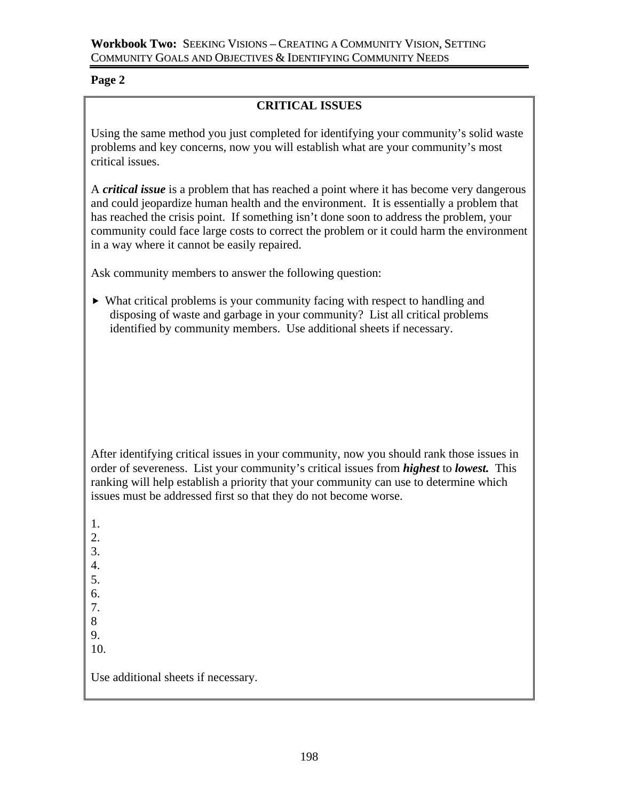## **Page 2**

## **CRITICAL ISSUES**

Using the same method you just completed for identifying your community's solid waste problems and key concerns, now you will establish what are your community's most critical issues.

A *critical issue* is a problem that has reached a point where it has become very dangerous and could jeopardize human health and the environment. It is essentially a problem that has reached the crisis point. If something isn't done soon to address the problem, your community could face large costs to correct the problem or it could harm the environment in a way where it cannot be easily repaired.

Ask community members to answer the following question:

 $\blacktriangleright$  What critical problems is your community facing with respect to handling and disposing of waste and garbage in your community? List all critical problems identified by community members. Use additional sheets if necessary.

After identifying critical issues in your community, now you should rank those issues in order of severeness. List your community's critical issues from *highest* to *lowest.* This ranking will help establish a priority that your community can use to determine which issues must be addressed first so that they do not become worse.

1. 2. 3. 4. 5. 6. 7. 8 9. 10. Use additional sheets if necessary.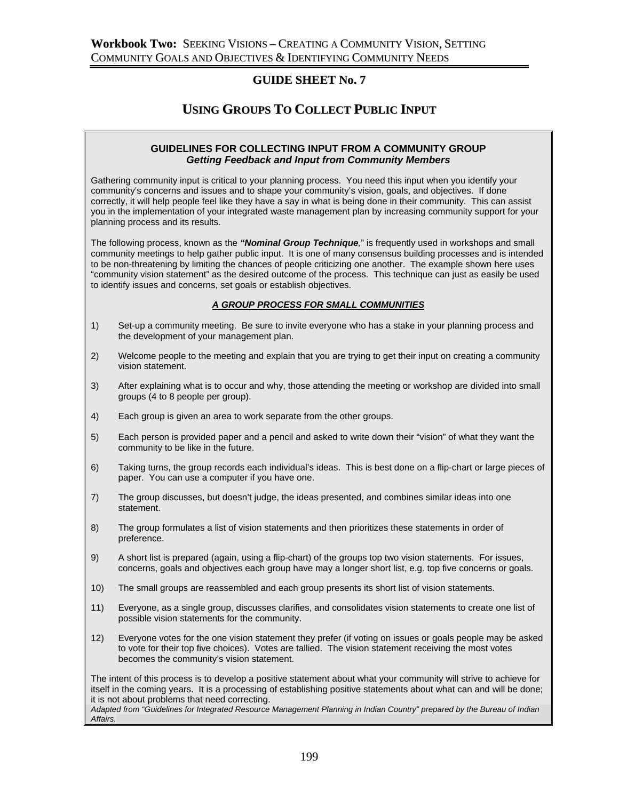### **GUIDE SHEET No. 7**

## **USING GROUPS TO COLLECT PUBLIC INPUT**

#### **GUIDELINES FOR COLLECTING INPUT FROM A COMMUNITY GROUP**  *Getting Feedback and Input from Community Members*

Gathering community input is critical to your planning process. You need this input when you identify your community's concerns and issues and to shape your community's vision, goals, and objectives. If done correctly, it will help people feel like they have a say in what is being done in their community. This can assist you in the implementation of your integrated waste management plan by increasing community support for your planning process and its results.

The following process, known as the *"Nominal Group Technique,*" is frequently used in workshops and small community meetings to help gather public input. It is one of many consensus building processes and is intended to be non-threatening by limiting the chances of people criticizing one another. The example shown here uses "community vision statement" as the desired outcome of the process. This technique can just as easily be used to identify issues and concerns, set goals or establish objectives.

#### *A GROUP PROCESS FOR SMALL COMMUNITIES*

- 1) Set-up a community meeting. Be sure to invite everyone who has a stake in your planning process and the development of your management plan.
- 2) Welcome people to the meeting and explain that you are trying to get their input on creating a community vision statement.
- 3) After explaining what is to occur and why, those attending the meeting or workshop are divided into small groups (4 to 8 people per group).
- 4) Each group is given an area to work separate from the other groups.
- 5) Each person is provided paper and a pencil and asked to write down their "vision" of what they want the community to be like in the future.
- 6) Taking turns, the group records each individual's ideas. This is best done on a flip-chart or large pieces of paper. You can use a computer if you have one.
- 7) The group discusses, but doesn't judge, the ideas presented, and combines similar ideas into one statement.
- 8) The group formulates a list of vision statements and then prioritizes these statements in order of preference.
- 9) A short list is prepared (again, using a flip-chart) of the groups top two vision statements. For issues, concerns, goals and objectives each group have may a longer short list, e.g. top five concerns or goals.
- 10) The small groups are reassembled and each group presents its short list of vision statements.
- 11) Everyone, as a single group, discusses clarifies, and consolidates vision statements to create one list of possible vision statements for the community.
- 12) Everyone votes for the one vision statement they prefer (if voting on issues or goals people may be asked to vote for their top five choices). Votes are tallied. The vision statement receiving the most votes becomes the community's vision statement.

The intent of this process is to develop a positive statement about what your community will strive to achieve for itself in the coming years. It is a processing of establishing positive statements about what can and will be done; it is not about problems that need correcting.

*Adapted from "Guidelines for Integrated Resource Management Planning in Indian Country" prepared by the Bureau of Indian Affairs.*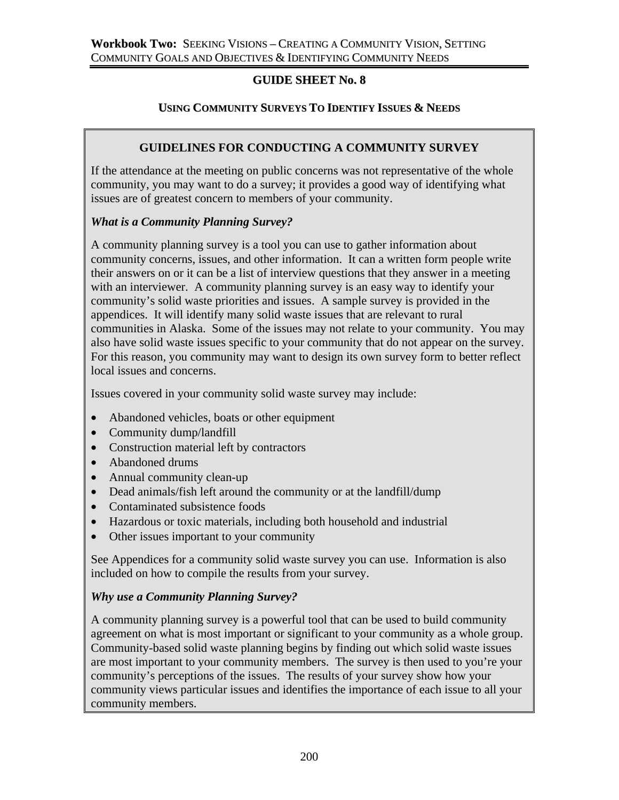## **GUIDE SHEET No. 8**

## **USING COMMUNITY SURVEYS TO IDENTIFY ISSUES & NEEDS**

# **GUIDELINES FOR CONDUCTING A COMMUNITY SURVEY**

If the attendance at the meeting on public concerns was not representative of the whole community, you may want to do a survey; it provides a good way of identifying what issues are of greatest concern to members of your community.

## *What is a Community Planning Survey?*

A community planning survey is a tool you can use to gather information about community concerns, issues, and other information. It can a written form people write their answers on or it can be a list of interview questions that they answer in a meeting with an interviewer. A community planning survey is an easy way to identify your community's solid waste priorities and issues. A sample survey is provided in the appendices. It will identify many solid waste issues that are relevant to rural communities in Alaska. Some of the issues may not relate to your community. You may also have solid waste issues specific to your community that do not appear on the survey. For this reason, you community may want to design its own survey form to better reflect local issues and concerns.

Issues covered in your community solid waste survey may include:

- Abandoned vehicles, boats or other equipment
- Community dump/landfill
- Construction material left by contractors
- Abandoned drums
- Annual community clean-up
- Dead animals/fish left around the community or at the landfill/dump
- Contaminated subsistence foods
- Hazardous or toxic materials, including both household and industrial
- Other issues important to your community

See Appendices for a community solid waste survey you can use. Information is also included on how to compile the results from your survey.

## *Why use a Community Planning Survey?*

A community planning survey is a powerful tool that can be used to build community agreement on what is most important or significant to your community as a whole group. Community-based solid waste planning begins by finding out which solid waste issues are most important to your community members. The survey is then used to you're your community's perceptions of the issues. The results of your survey show how your community views particular issues and identifies the importance of each issue to all your community members.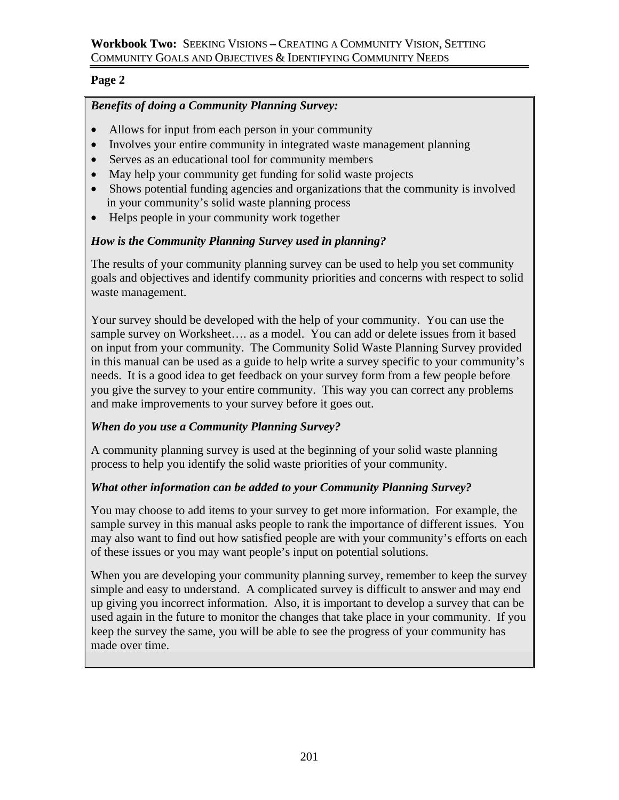## **Page 2**

# *Benefits of doing a Community Planning Survey:*

- Allows for input from each person in your community
- Involves your entire community in integrated waste management planning
- Serves as an educational tool for community members
- May help your community get funding for solid waste projects
- Shows potential funding agencies and organizations that the community is involved in your community's solid waste planning process
- Helps people in your community work together

## *How is the Community Planning Survey used in planning?*

The results of your community planning survey can be used to help you set community goals and objectives and identify community priorities and concerns with respect to solid waste management.

Your survey should be developed with the help of your community. You can use the sample survey on Worksheet…. as a model. You can add or delete issues from it based on input from your community. The Community Solid Waste Planning Survey provided in this manual can be used as a guide to help write a survey specific to your community's needs. It is a good idea to get feedback on your survey form from a few people before you give the survey to your entire community. This way you can correct any problems and make improvements to your survey before it goes out.

## *When do you use a Community Planning Survey?*

A community planning survey is used at the beginning of your solid waste planning process to help you identify the solid waste priorities of your community.

## *What other information can be added to your Community Planning Survey?*

You may choose to add items to your survey to get more information. For example, the sample survey in this manual asks people to rank the importance of different issues. You may also want to find out how satisfied people are with your community's efforts on each of these issues or you may want people's input on potential solutions.

When you are developing your community planning survey, remember to keep the survey simple and easy to understand. A complicated survey is difficult to answer and may end up giving you incorrect information. Also, it is important to develop a survey that can be used again in the future to monitor the changes that take place in your community. If you keep the survey the same, you will be able to see the progress of your community has made over time.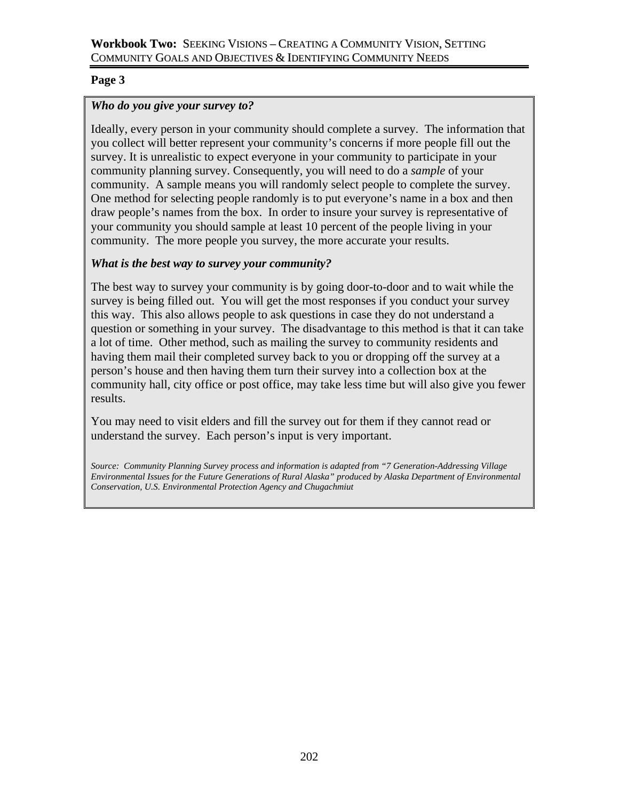## **Page 3**

## *Who do you give your survey to?*

Ideally, every person in your community should complete a survey. The information that you collect will better represent your community's concerns if more people fill out the survey. It is unrealistic to expect everyone in your community to participate in your community planning survey. Consequently, you will need to do a *sample* of your community. A sample means you will randomly select people to complete the survey. One method for selecting people randomly is to put everyone's name in a box and then draw people's names from the box. In order to insure your survey is representative of your community you should sample at least 10 percent of the people living in your community. The more people you survey, the more accurate your results.

## *What is the best way to survey your community?*

The best way to survey your community is by going door-to-door and to wait while the survey is being filled out. You will get the most responses if you conduct your survey this way. This also allows people to ask questions in case they do not understand a question or something in your survey. The disadvantage to this method is that it can take a lot of time. Other method, such as mailing the survey to community residents and having them mail their completed survey back to you or dropping off the survey at a person's house and then having them turn their survey into a collection box at the community hall, city office or post office, may take less time but will also give you fewer results.

You may need to visit elders and fill the survey out for them if they cannot read or understand the survey. Each person's input is very important.

*Source: Community Planning Survey process and information is adapted from "7 Generation-Addressing Village Environmental Issues for the Future Generations of Rural Alaska" produced by Alaska Department of Environmental Conservation, U.S. Environmental Protection Agency and Chugachmiut*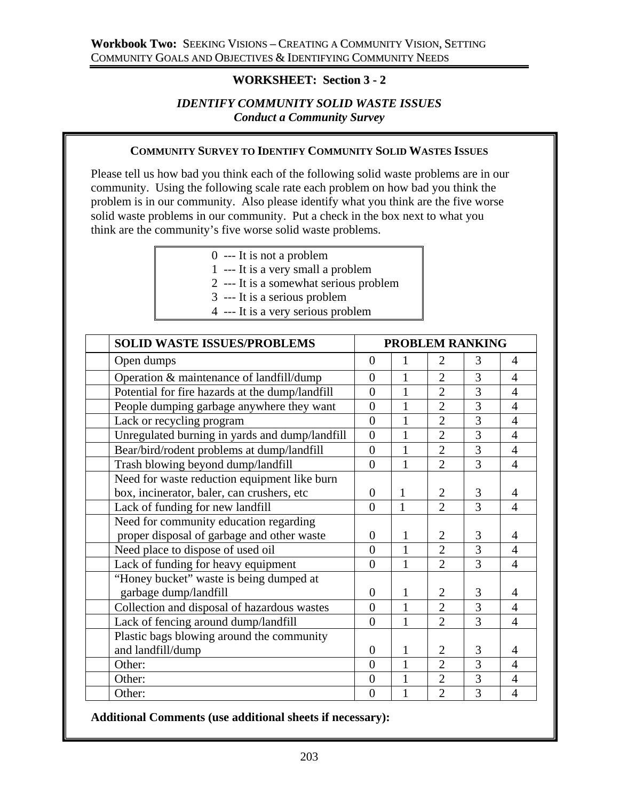## **WORKSHEET: Section 3 - 2**

### *IDENTIFY COMMUNITY SOLID WASTE ISSUES Conduct a Community Survey*

### **COMMUNITY SURVEY TO IDENTIFY COMMUNITY SOLID WASTES ISSUES**

Please tell us how bad you think each of the following solid waste problems are in our community. Using the following scale rate each problem on how bad you think the problem is in our community. Also please identify what you think are the five worse solid waste problems in our community. Put a check in the box next to what you think are the community's five worse solid waste problems.

- 0 --- It is not a problem
- 1 --- It is a very small a problem
- 2 --- It is a somewhat serious problem
- 3 --- It is a serious problem
- 4 --- It is a very serious problem

| <b>SOLID WASTE ISSUES/PROBLEMS</b>              | <b>PROBLEM RANKING</b> |              |                |                |                          |
|-------------------------------------------------|------------------------|--------------|----------------|----------------|--------------------------|
| Open dumps                                      | $\Omega$               | 1            | $\overline{2}$ | 3              | 4                        |
| Operation & maintenance of landfill/dump        | $\overline{0}$         | 1            | $\overline{2}$ | 3              | $\overline{\mathcal{A}}$ |
| Potential for fire hazards at the dump/landfill | $\overline{0}$         | $\mathbf{1}$ | $\overline{2}$ | 3              | $\overline{4}$           |
| People dumping garbage anywhere they want       | $\overline{0}$         | 1            | $\overline{2}$ | 3              | $\overline{4}$           |
| Lack or recycling program                       | $\overline{0}$         | $\mathbf{1}$ | $\overline{2}$ | $\overline{3}$ | $\overline{4}$           |
| Unregulated burning in yards and dump/landfill  | $\overline{0}$         | $\mathbf{1}$ | $\overline{2}$ | $\overline{3}$ | $\overline{4}$           |
| Bear/bird/rodent problems at dump/landfill      | $\overline{0}$         | $\mathbf{1}$ | $\overline{2}$ | 3              | $\overline{4}$           |
| Trash blowing beyond dump/landfill              | $\theta$               | $\mathbf{1}$ | $\overline{2}$ | 3              | $\overline{4}$           |
| Need for waste reduction equipment like burn    |                        |              |                |                |                          |
| box, incinerator, baler, can crushers, etc      | $\overline{0}$         | 1            | $\overline{2}$ | 3              | 4                        |
| Lack of funding for new landfill                | $\theta$               | $\mathbf{1}$ | $\overline{2}$ | 3              | $\overline{4}$           |
| Need for community education regarding          |                        |              |                |                |                          |
| proper disposal of garbage and other waste      | $\overline{0}$         | 1            | $\overline{2}$ | 3              | 4                        |
| Need place to dispose of used oil               | $\theta$               | $\mathbf{1}$ | $\overline{2}$ | $\overline{3}$ | $\overline{4}$           |
| Lack of funding for heavy equipment             | $\overline{0}$         | 1            | $\overline{2}$ | $\overline{3}$ | $\overline{4}$           |
| "Honey bucket" waste is being dumped at         |                        |              |                |                |                          |
| garbage dump/landfill                           | $\overline{0}$         | $\mathbf{1}$ | $\overline{2}$ | 3              | 4                        |
| Collection and disposal of hazardous wastes     | $\theta$               | 1            | $\overline{2}$ | 3              | 4                        |
| Lack of fencing around dump/landfill            | $\theta$               | 1            | $\overline{2}$ | $\overline{3}$ | 4                        |
| Plastic bags blowing around the community       |                        |              |                |                |                          |
| and landfill/dump                               | $\overline{0}$         | $\mathbf{1}$ | $\overline{2}$ | 3              | 4                        |
| Other:                                          | $\theta$               | 1            | $\overline{2}$ | 3              | $\overline{4}$           |
| Other:                                          | $\overline{0}$         | 1            | $\overline{2}$ | 3              | $\overline{4}$           |
| Other:                                          | $\overline{0}$         | 1            | $\overline{2}$ | 3              | $\overline{4}$           |

**Additional Comments (use additional sheets if necessary):**